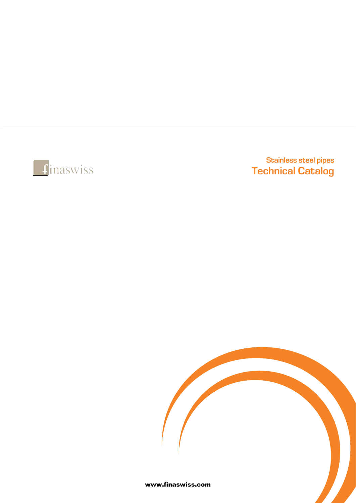

# Stainless steel pipes Technical Catalog

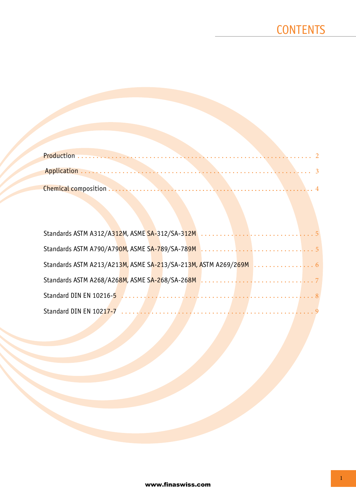| Standards ASTM A213/A213M, ASME SA-213/SA-213M, ASTM A269/269M 6 |  |  |  |  |  |  |  |
|------------------------------------------------------------------|--|--|--|--|--|--|--|
|                                                                  |  |  |  |  |  |  |  |
|                                                                  |  |  |  |  |  |  |  |
|                                                                  |  |  |  |  |  |  |  |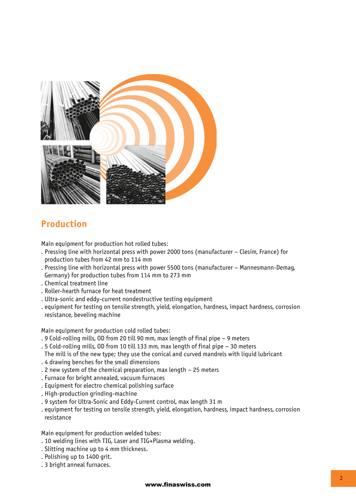

## **Production**

Main equipment for production hot rolled tubes:

- . Pressing line with horizontal press with power 2000 tons (manufacturer Clesim, France) for production tubes from 42 mm to 114 mm
- . Pressing line with horizontal press with power 5500 tons (manufacturer Mannesmann-Demag, Germany) for production tubes from 114 mm to 273 mm
- . Chemical treatment line
- . Roller-hearth furnace for heat treatment
- . Ultra-sonic and eddy-current nondestructive testing equipment
- . equipment for testing on tensile strength, yield, elongation, hardness, impact hardness, corrosion resistance, beveling machine

Main equipment for production cold rolled tubes:

- . 9 Cold-rolling mills, OD from 20 till 90 mm, max length of final pipe 9 meters
- . 5 Cold-rolling mills, OD from 10 till 133 mm, max length of final pipe 30 meters The mill is of the new type; they use the conical and curved mandrels with liquid lubricant
- . 4 drawing benches for the small dimensions
- . 2 new system of the chemical preparation, max length 25 meters
- . Furnace for bright annealed, vacuum furnaces
- . Equipment for electro chemical polishing surface
- . High-production grinding-machine
- . 9 system for Ultra-Sonic and Eddy-Current control, max length 31 m
- . equipment for testing on tensile strength, yield, elongation, hardness, impact hardness, corrosion resistance

Main equipment for production welded tubes:

- . 10 welding lines with TIG, Laser and TIG+Plasma welding.
- . Slitting machine up to 4 mm thickness.
- . Polishing up to 1400 grit.
- . 3 bright anneal furnaces.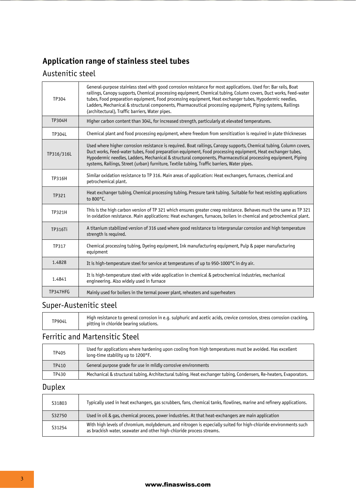# **Application range of stainless steel tubes**

## Austenitic steel

| TP304         | General-purpose stainless steel with good corrosion resistance for most applications. Used for: Bar rails, Boat<br>railings, Canopy supports, Chemical processing equipment, Chemical tubing, Column covers, Duct works, Feed-water<br>tubes, Food preparation equipment, Food processing equipment, Heat exchanger tubes, Hypodermic needles,<br>Ladders, Mechanical & structural components, Pharmaceutical processing equipment, Piping systems, Railings<br>(architectural), Traffic barriers, Water pipes. |
|---------------|-----------------------------------------------------------------------------------------------------------------------------------------------------------------------------------------------------------------------------------------------------------------------------------------------------------------------------------------------------------------------------------------------------------------------------------------------------------------------------------------------------------------|
| <b>TP304H</b> | Higher carbon content than 304L, for increased strength, particularly at elevated temperatures.                                                                                                                                                                                                                                                                                                                                                                                                                 |
| <b>TP304L</b> | Chemical plant and food processing equipment, where freedom from sensitization is required in plate thicknesses                                                                                                                                                                                                                                                                                                                                                                                                 |
| TP316/316L    | Used where higher corrosion resistance is required. Boat railings, Canopy supports, Chemical tubing, Column covers,<br>Duct works, Feed-water tubes, Food preparation equipment, Food processing equipment, Heat exchanger tubes,<br>Hypodermic needles, Ladders, Mechanical & structural components, Pharmaceutical processing equipment, Piping<br>systems, Railings, Street (urban) furniture, Textile tubing, Traffic barriers, Water pipes.                                                                |
| <b>TP316H</b> | Similar oxidation resistance to TP 316. Main areas of application: Heat exchangers, furnaces, chemical and<br>petrochemical plant.                                                                                                                                                                                                                                                                                                                                                                              |
| TP321         | Heat exchanger tubing, Chemical processing tubing, Pressure tank tubing. Suitable for heat resisting applications<br>to 800°C.                                                                                                                                                                                                                                                                                                                                                                                  |
| <b>TP321H</b> | This is the high carbon version of TP 321 which ensures greater creep resistance. Behaves much the same as TP 321<br>in oxidation resistance. Main applications: Heat exchangers, furnaces, boilers in chemical and petrochemical plant.                                                                                                                                                                                                                                                                        |
| TP316Ti       | A titanium stabilized version of 316 used where good resistance to intergranular corrosion and high temperature<br>strength is required.                                                                                                                                                                                                                                                                                                                                                                        |
| TP317         | Chemical processing tubing, Dyeing equipment, Ink manufacturing equipment, Pulp & paper manufacturing<br>equipment                                                                                                                                                                                                                                                                                                                                                                                              |
| 1.4828        | It is high-temperature steel for service at temperatures of up to 950-1000°C in dry air.                                                                                                                                                                                                                                                                                                                                                                                                                        |
| 1.4841        | It is high-temperature steel with wide application in chemical & petrochemical industries, mechanical<br>engineering. Also widely used in furnace                                                                                                                                                                                                                                                                                                                                                               |
| TP347HFG      | Mainly used for boilers in the termal power plant, reheaters and superheaters                                                                                                                                                                                                                                                                                                                                                                                                                                   |

## Super-Austenitic steel

| <b>TP904L</b> | High resistance to general corrosion in e.g. sulphuric and acetic acids, crevice corrosion, stress corrosion cracking,<br>pitting in chloride bearing solutions. |
|---------------|------------------------------------------------------------------------------------------------------------------------------------------------------------------|
|---------------|------------------------------------------------------------------------------------------------------------------------------------------------------------------|

### Ferritic and Martensitic Steel

| TP405 | Used for applications where hardening upon cooling from high temperatures must be avoided. Has excellent<br>long-time stability up to 1200°F. |
|-------|-----------------------------------------------------------------------------------------------------------------------------------------------|
| TP410 | General purpose grade for use in mildly corrosive environments                                                                                |
| TP430 | Mechanical & structural tubing, Architectural tubing, Heat exchanger tubing, Condensers, Re-heaters, Evaporators.                             |

# Duplex

| S31803 | Typically used in heat exchangers, gas scrubbers, fans, chemical tanks, flowlines, marine and refinery applications.                                                                    |
|--------|-----------------------------------------------------------------------------------------------------------------------------------------------------------------------------------------|
| S32750 | Used in oil & gas, chemical process, power industries. At that heat-exchangers are main application                                                                                     |
| S31254 | With high levels of chromium, molybdenum, and nitrogen is especially suited for high-chloride environments such<br>as brackish water, seawater and other high-chloride process streams. |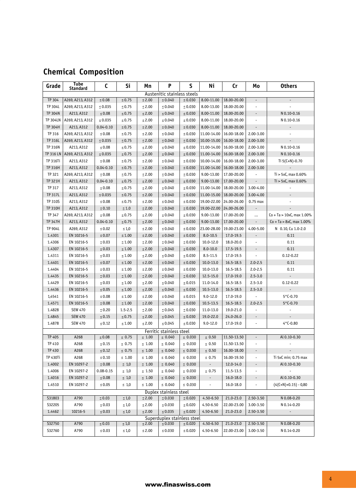# **Chemical Composition**

| Tube<br>Standard<br>Austenitic stainless steels<br>TP 304<br>A269, A213, A312<br>$\leq 0.75$<br>$\leq 2.00$<br>8.00-11.00<br>18.00-20.00<br>$\leq 0.08$<br>$\le 0.040$<br>$\leq 0.030$<br>$\blacksquare$<br>TP 304L<br>8.00-13.00<br>18.00-20.00<br>A269, A213, A312<br>$\leq 0.035$<br>$\leq 0.75$<br>$\leq 2.00$<br>$\le 0.040$<br>$\le 0.030$<br>÷,<br>TP 304N<br>A213, A312<br>$\leq 0.08$<br>$\leq 2.00$<br>$\le 0.040$<br>$\leq 0.030$<br>8.00-11.00<br>18.00-20.00<br>N 0.10-0.16<br>$\leq 0.75$<br>$\overline{\phantom{a}}$<br>8.00-11.00<br><b>TP 304LN</b><br>A269, A213, A312<br>$\leq 2.00$<br>$\le 0.040$<br>18.00-20.00<br>$\overline{\phantom{a}}$<br>$\leq 0.035$<br>$\leq 0.75$<br>$\leq 0.030$<br>N 0.10-0.16<br>$8.00 - 11.00$<br>TP 304H<br>A213, A312<br>$0.04 - 0.10$<br>$\leq 0.75$<br>$\leq 2.00$<br>$\le 0.040$<br>$\leq 0.030$<br>18.00-20.00<br>$\blacksquare$<br>$\overline{\phantom{a}}$<br>11.00-14.00<br>16.00-18.00<br>TP 316<br>A269, A213, A312<br>$\leq 0.08$<br>$\leq 0.75$<br>$\leq 2.00$<br>$\le 0.040$<br>$\le 0.030$<br>2.00-3.00<br>÷,<br>10.00-15.00<br>16.00-18.00<br>TP 316L<br>A269, A213, A312<br>$\leq 0.035$<br>$\leq 0.75$<br>$\leq 2.00$<br>$\le 0.040$<br>$\leq 0.030$<br>2.00-3.00<br><b>TP 316N</b><br>A213, A312<br>$\leq 0.08$<br>$\leq 0.75$<br>$\leq 2.00$<br>$\le 0.040$<br>$\leq 0.030$<br>11.00-14.00<br>16.00-18.00<br>2.00-3.00<br>N 0.10-0.16<br>11.00-14.00<br>TP 316 LN<br>A269, A213, A312<br>$\leq 0.75$<br>$\leq 2.00$<br>$\le 0.040$<br>16.00-18.00<br>2.00-3.00<br>N 0.10-0.16<br>$\leq 0.035$<br>$\leq 0.030$<br>10.00-14.00<br>16.00-18.00<br>TP 316Ti<br>A213, A312<br>$\leq 0.08$<br>$\leq 0.75$<br>$\leq 2.00$<br>$\le 0.040$<br>$\le 0.030$<br>2.00-3.00<br>Ti $5(C+N)-0.70$<br>11.00-14.00<br>TP 316H<br>A213, A312<br>$0.04 - 0.10$<br>$\leq 2.00$<br>$\le 0.040$<br>16.00-18.00<br>2.00-3.00<br>$\leq 0.75$<br>$\le 0.030$<br>$\overline{\phantom{a}}$<br>9.00-13.00<br>TP 321<br>A269, A213, A312<br>$\leq 0.08$<br>$\leq 0.75$<br>$\leq 2.00$<br>$\le 0.040$<br>$\le 0.030$<br>17.00-20.00<br>$Ti > 5xC$ , max $0.60\%$<br>$\overline{\phantom{a}}$<br>TP 321H<br>9.00-13.00<br>17.00-20.00<br>$\overline{\phantom{a}}$<br>$Ti > 5xC$ , max $0.60\%$<br>A213, A312<br>$0.04 - 0.10$<br>$\leq 0.75$<br>$\leq 2.00$<br>$\leq 0.040$<br>$\leq 0.030$<br>TP 317<br>11.00-14.00<br>18.00-20.00<br>A213, A312<br>$\leq 0.08$<br>$\leq 0.75$<br>$\leq 2.00$<br>$\le 0.040$<br>$\le 0.030$<br>3.00-4.00<br>18.00-20.00<br>TP 317L<br>A213, A312<br>$\leq 0.035$<br>$\leq 0.75$<br>$\leq 2.00$<br>$\le 0.040$<br>$\leq 0.030$<br>11.00-15.00<br>3.00-4.00<br>$\overline{\phantom{a}}$<br>TP 310S<br>24.00-26.00<br>A213, A312<br>$\leq 0.08$<br>$\leq 0.75$<br>$\leq 2.00$<br>$\le 0.040$<br>$\le 0.030$<br>19.00-22.00<br>$0.75$ max<br><b>TP 310H</b><br>A213, A312<br>$\leq 2.00$<br>$\le 0.040$<br>19.00-22.00<br>24.00-26.00<br>$\leq 0.10$<br>$\leq 1.0$<br>$\le 0.030$<br>$\overline{\phantom{a}}$<br>9.00-13.00<br>TP 347<br>A269, A213, A312<br>$\leq 0.08$<br>$\leq 0.75$<br>$\leq 2.00$<br>$\le 0.040$<br>$\leq 0.030$<br>17.00-20.00<br>$Co + Ta > 10xC$ , max 1.00%<br><br>9.00-13.00<br><b>TP 347H</b><br>A213, A312<br>$0.04 - 0.10$<br>$\leq 0.75$<br>$\leq 2.00$<br>$\le 0.040$<br>$\leq 0.030$<br>17.00-20.00<br>$Co + Ta > 8xC$ , max 1.00%<br>$\overline{\phantom{a}}$<br>TP 904L<br>A269, A312<br>$\leq 1.0$<br>$\leq 2.00$<br>$\le 0.040$<br>23.00-28.00<br>19.00-23.00<br>4.00-5.00<br>N 0.10, Cu 1.0-2.0<br>$\leq 0.02$<br>$\leq 0.030$<br>EN 10216-5<br>$\leq 0.07$<br>$\leq 2.00$<br>$\le 0.040$<br>$8.0 - 10.5$<br>17.0-19.5<br>0.11<br>1.4301<br>$\leq 1.00$<br>$\leq 0.030$<br>$\overline{\phantom{a}}$<br>1.4306<br>EN 10216-5<br>$\leq 0.03$<br>$\leq 1.00$<br>$\leq 2.00$<br>$\le 0.040$<br>$\le 0.030$<br>10.0-12.0<br>18.0-20.0<br>÷,<br>0.11<br>1.4307<br>EN 10216-5<br>$\leq 0.03$<br>$\leq 1.00$<br>$\leq 2.00$<br>$\le 0.040$<br>$\leq 0.030$<br>$8.0 - 10.0$<br>17.5-19.5<br>0.11<br>$\overline{\phantom{a}}$<br>$0.12 - 0.22$<br>1.4311<br>EN 10216-5<br>$\leq 0.03$<br>$\leq 1.00$<br>$\leq 2.00$<br>$\le 0.040$<br>$\le 0.030$<br>8.5-11.5<br>17.0-19.5<br>$\blacksquare$<br>1.4401<br>EN 10216-5<br>$\leq 0.07$<br>$\leq 1.00$<br>$\leq 2.00$<br>$\le 0.040$<br>$\leq 0.030$<br>10.0-13.0<br>16.5-18.5<br>$2.0 - 2.5$<br>0.11<br>1.4404<br>EN 10216-5<br>$\leq 0.03$<br>$\leq 1.00$<br>$\leq 2.00$<br>$\le 0.040$<br>$\le 0.030$<br>10.0-13.0<br>16.5-18.5<br>$2.0 - 2.5$<br>0.11<br>1.4435<br>EN 10216-5<br>$\leq 2.00$<br>$\le 0.040$<br>12.5-15.0<br>$2.5 - 3.0$<br>$\mathcal{L}^{\mathcal{A}}$<br>$\leq 0.03$<br>$\leq 1.00$<br>$\le 0.030$<br>17.0-19.0<br>1.4429<br>EN 10216-5<br>$\leq 0.03$<br>$\leq 2.00$<br>$\le 0.040$<br>11.0-14.0<br>16.5-18.5<br>$2.5 - 3.0$<br>$0.12 - 0.22$<br>$\leq 1.00$<br>$\le 0.015$<br>$\overline{\phantom{a}}$<br>1.4436<br>10.5-13.0<br>16.5-18.5<br>EN 10216-5<br>$\leq 0.05$<br>$\leq 1.00$<br>$\leq 2.00$<br>$\le 0.040$<br>$\leq 0.030$<br>$2.5 - 3.0$<br>$5*$ C-0.70 |
|--------------------------------------------------------------------------------------------------------------------------------------------------------------------------------------------------------------------------------------------------------------------------------------------------------------------------------------------------------------------------------------------------------------------------------------------------------------------------------------------------------------------------------------------------------------------------------------------------------------------------------------------------------------------------------------------------------------------------------------------------------------------------------------------------------------------------------------------------------------------------------------------------------------------------------------------------------------------------------------------------------------------------------------------------------------------------------------------------------------------------------------------------------------------------------------------------------------------------------------------------------------------------------------------------------------------------------------------------------------------------------------------------------------------------------------------------------------------------------------------------------------------------------------------------------------------------------------------------------------------------------------------------------------------------------------------------------------------------------------------------------------------------------------------------------------------------------------------------------------------------------------------------------------------------------------------------------------------------------------------------------------------------------------------------------------------------------------------------------------------------------------------------------------------------------------------------------------------------------------------------------------------------------------------------------------------------------------------------------------------------------------------------------------------------------------------------------------------------------------------------------------------------------------------------------------------------------------------------------------------------------------------------------------------------------------------------------------------------------------------------------------------------------------------------------------------------------------------------------------------------------------------------------------------------------------------------------------------------------------------------------------------------------------------------------------------------------------------------------------------------------------------------------------------------------------------------------------------------------------------------------------------------------------------------------------------------------------------------------------------------------------------------------------------------------------------------------------------------------------------------------------------------------------------------------------------------------------------------------------------------------------------------------------------------------------------------------------------------------------------------------------------------------------------------------------------------------------------------------------------------------------------------------------------------------------------------------------------------------------------------------------------------------------------------------------------------------------------------------------------------------------------------------------------------------------------------------------------------------------------------------------------------------------------------------------------------------------------------------------------------------------------------------------------------------------------------------------------------------------------------------------------------------------------------------------------------------------------------------------------------------------------------------------------------------------------------------------------------------------------------------------------------------------------------------------------------------------------------------------------------------------------------------------------------------------------------------------------------------------------------------------------------------------|
|                                                                                                                                                                                                                                                                                                                                                                                                                                                                                                                                                                                                                                                                                                                                                                                                                                                                                                                                                                                                                                                                                                                                                                                                                                                                                                                                                                                                                                                                                                                                                                                                                                                                                                                                                                                                                                                                                                                                                                                                                                                                                                                                                                                                                                                                                                                                                                                                                                                                                                                                                                                                                                                                                                                                                                                                                                                                                                                                                                                                                                                                                                                                                                                                                                                                                                                                                                                                                                                                                                                                                                                                                                                                                                                                                                                                                                                                                                                                                                                                                                                                                                                                                                                                                                                                                                                                                                                                                                                                                                                                                                                                                                                                                                                                                                                                                                                                                                                                                                                                                                      |
|                                                                                                                                                                                                                                                                                                                                                                                                                                                                                                                                                                                                                                                                                                                                                                                                                                                                                                                                                                                                                                                                                                                                                                                                                                                                                                                                                                                                                                                                                                                                                                                                                                                                                                                                                                                                                                                                                                                                                                                                                                                                                                                                                                                                                                                                                                                                                                                                                                                                                                                                                                                                                                                                                                                                                                                                                                                                                                                                                                                                                                                                                                                                                                                                                                                                                                                                                                                                                                                                                                                                                                                                                                                                                                                                                                                                                                                                                                                                                                                                                                                                                                                                                                                                                                                                                                                                                                                                                                                                                                                                                                                                                                                                                                                                                                                                                                                                                                                                                                                                                                      |
|                                                                                                                                                                                                                                                                                                                                                                                                                                                                                                                                                                                                                                                                                                                                                                                                                                                                                                                                                                                                                                                                                                                                                                                                                                                                                                                                                                                                                                                                                                                                                                                                                                                                                                                                                                                                                                                                                                                                                                                                                                                                                                                                                                                                                                                                                                                                                                                                                                                                                                                                                                                                                                                                                                                                                                                                                                                                                                                                                                                                                                                                                                                                                                                                                                                                                                                                                                                                                                                                                                                                                                                                                                                                                                                                                                                                                                                                                                                                                                                                                                                                                                                                                                                                                                                                                                                                                                                                                                                                                                                                                                                                                                                                                                                                                                                                                                                                                                                                                                                                                                      |
|                                                                                                                                                                                                                                                                                                                                                                                                                                                                                                                                                                                                                                                                                                                                                                                                                                                                                                                                                                                                                                                                                                                                                                                                                                                                                                                                                                                                                                                                                                                                                                                                                                                                                                                                                                                                                                                                                                                                                                                                                                                                                                                                                                                                                                                                                                                                                                                                                                                                                                                                                                                                                                                                                                                                                                                                                                                                                                                                                                                                                                                                                                                                                                                                                                                                                                                                                                                                                                                                                                                                                                                                                                                                                                                                                                                                                                                                                                                                                                                                                                                                                                                                                                                                                                                                                                                                                                                                                                                                                                                                                                                                                                                                                                                                                                                                                                                                                                                                                                                                                                      |
|                                                                                                                                                                                                                                                                                                                                                                                                                                                                                                                                                                                                                                                                                                                                                                                                                                                                                                                                                                                                                                                                                                                                                                                                                                                                                                                                                                                                                                                                                                                                                                                                                                                                                                                                                                                                                                                                                                                                                                                                                                                                                                                                                                                                                                                                                                                                                                                                                                                                                                                                                                                                                                                                                                                                                                                                                                                                                                                                                                                                                                                                                                                                                                                                                                                                                                                                                                                                                                                                                                                                                                                                                                                                                                                                                                                                                                                                                                                                                                                                                                                                                                                                                                                                                                                                                                                                                                                                                                                                                                                                                                                                                                                                                                                                                                                                                                                                                                                                                                                                                                      |
|                                                                                                                                                                                                                                                                                                                                                                                                                                                                                                                                                                                                                                                                                                                                                                                                                                                                                                                                                                                                                                                                                                                                                                                                                                                                                                                                                                                                                                                                                                                                                                                                                                                                                                                                                                                                                                                                                                                                                                                                                                                                                                                                                                                                                                                                                                                                                                                                                                                                                                                                                                                                                                                                                                                                                                                                                                                                                                                                                                                                                                                                                                                                                                                                                                                                                                                                                                                                                                                                                                                                                                                                                                                                                                                                                                                                                                                                                                                                                                                                                                                                                                                                                                                                                                                                                                                                                                                                                                                                                                                                                                                                                                                                                                                                                                                                                                                                                                                                                                                                                                      |
|                                                                                                                                                                                                                                                                                                                                                                                                                                                                                                                                                                                                                                                                                                                                                                                                                                                                                                                                                                                                                                                                                                                                                                                                                                                                                                                                                                                                                                                                                                                                                                                                                                                                                                                                                                                                                                                                                                                                                                                                                                                                                                                                                                                                                                                                                                                                                                                                                                                                                                                                                                                                                                                                                                                                                                                                                                                                                                                                                                                                                                                                                                                                                                                                                                                                                                                                                                                                                                                                                                                                                                                                                                                                                                                                                                                                                                                                                                                                                                                                                                                                                                                                                                                                                                                                                                                                                                                                                                                                                                                                                                                                                                                                                                                                                                                                                                                                                                                                                                                                                                      |
|                                                                                                                                                                                                                                                                                                                                                                                                                                                                                                                                                                                                                                                                                                                                                                                                                                                                                                                                                                                                                                                                                                                                                                                                                                                                                                                                                                                                                                                                                                                                                                                                                                                                                                                                                                                                                                                                                                                                                                                                                                                                                                                                                                                                                                                                                                                                                                                                                                                                                                                                                                                                                                                                                                                                                                                                                                                                                                                                                                                                                                                                                                                                                                                                                                                                                                                                                                                                                                                                                                                                                                                                                                                                                                                                                                                                                                                                                                                                                                                                                                                                                                                                                                                                                                                                                                                                                                                                                                                                                                                                                                                                                                                                                                                                                                                                                                                                                                                                                                                                                                      |
|                                                                                                                                                                                                                                                                                                                                                                                                                                                                                                                                                                                                                                                                                                                                                                                                                                                                                                                                                                                                                                                                                                                                                                                                                                                                                                                                                                                                                                                                                                                                                                                                                                                                                                                                                                                                                                                                                                                                                                                                                                                                                                                                                                                                                                                                                                                                                                                                                                                                                                                                                                                                                                                                                                                                                                                                                                                                                                                                                                                                                                                                                                                                                                                                                                                                                                                                                                                                                                                                                                                                                                                                                                                                                                                                                                                                                                                                                                                                                                                                                                                                                                                                                                                                                                                                                                                                                                                                                                                                                                                                                                                                                                                                                                                                                                                                                                                                                                                                                                                                                                      |
|                                                                                                                                                                                                                                                                                                                                                                                                                                                                                                                                                                                                                                                                                                                                                                                                                                                                                                                                                                                                                                                                                                                                                                                                                                                                                                                                                                                                                                                                                                                                                                                                                                                                                                                                                                                                                                                                                                                                                                                                                                                                                                                                                                                                                                                                                                                                                                                                                                                                                                                                                                                                                                                                                                                                                                                                                                                                                                                                                                                                                                                                                                                                                                                                                                                                                                                                                                                                                                                                                                                                                                                                                                                                                                                                                                                                                                                                                                                                                                                                                                                                                                                                                                                                                                                                                                                                                                                                                                                                                                                                                                                                                                                                                                                                                                                                                                                                                                                                                                                                                                      |
|                                                                                                                                                                                                                                                                                                                                                                                                                                                                                                                                                                                                                                                                                                                                                                                                                                                                                                                                                                                                                                                                                                                                                                                                                                                                                                                                                                                                                                                                                                                                                                                                                                                                                                                                                                                                                                                                                                                                                                                                                                                                                                                                                                                                                                                                                                                                                                                                                                                                                                                                                                                                                                                                                                                                                                                                                                                                                                                                                                                                                                                                                                                                                                                                                                                                                                                                                                                                                                                                                                                                                                                                                                                                                                                                                                                                                                                                                                                                                                                                                                                                                                                                                                                                                                                                                                                                                                                                                                                                                                                                                                                                                                                                                                                                                                                                                                                                                                                                                                                                                                      |
|                                                                                                                                                                                                                                                                                                                                                                                                                                                                                                                                                                                                                                                                                                                                                                                                                                                                                                                                                                                                                                                                                                                                                                                                                                                                                                                                                                                                                                                                                                                                                                                                                                                                                                                                                                                                                                                                                                                                                                                                                                                                                                                                                                                                                                                                                                                                                                                                                                                                                                                                                                                                                                                                                                                                                                                                                                                                                                                                                                                                                                                                                                                                                                                                                                                                                                                                                                                                                                                                                                                                                                                                                                                                                                                                                                                                                                                                                                                                                                                                                                                                                                                                                                                                                                                                                                                                                                                                                                                                                                                                                                                                                                                                                                                                                                                                                                                                                                                                                                                                                                      |
|                                                                                                                                                                                                                                                                                                                                                                                                                                                                                                                                                                                                                                                                                                                                                                                                                                                                                                                                                                                                                                                                                                                                                                                                                                                                                                                                                                                                                                                                                                                                                                                                                                                                                                                                                                                                                                                                                                                                                                                                                                                                                                                                                                                                                                                                                                                                                                                                                                                                                                                                                                                                                                                                                                                                                                                                                                                                                                                                                                                                                                                                                                                                                                                                                                                                                                                                                                                                                                                                                                                                                                                                                                                                                                                                                                                                                                                                                                                                                                                                                                                                                                                                                                                                                                                                                                                                                                                                                                                                                                                                                                                                                                                                                                                                                                                                                                                                                                                                                                                                                                      |
|                                                                                                                                                                                                                                                                                                                                                                                                                                                                                                                                                                                                                                                                                                                                                                                                                                                                                                                                                                                                                                                                                                                                                                                                                                                                                                                                                                                                                                                                                                                                                                                                                                                                                                                                                                                                                                                                                                                                                                                                                                                                                                                                                                                                                                                                                                                                                                                                                                                                                                                                                                                                                                                                                                                                                                                                                                                                                                                                                                                                                                                                                                                                                                                                                                                                                                                                                                                                                                                                                                                                                                                                                                                                                                                                                                                                                                                                                                                                                                                                                                                                                                                                                                                                                                                                                                                                                                                                                                                                                                                                                                                                                                                                                                                                                                                                                                                                                                                                                                                                                                      |
|                                                                                                                                                                                                                                                                                                                                                                                                                                                                                                                                                                                                                                                                                                                                                                                                                                                                                                                                                                                                                                                                                                                                                                                                                                                                                                                                                                                                                                                                                                                                                                                                                                                                                                                                                                                                                                                                                                                                                                                                                                                                                                                                                                                                                                                                                                                                                                                                                                                                                                                                                                                                                                                                                                                                                                                                                                                                                                                                                                                                                                                                                                                                                                                                                                                                                                                                                                                                                                                                                                                                                                                                                                                                                                                                                                                                                                                                                                                                                                                                                                                                                                                                                                                                                                                                                                                                                                                                                                                                                                                                                                                                                                                                                                                                                                                                                                                                                                                                                                                                                                      |
|                                                                                                                                                                                                                                                                                                                                                                                                                                                                                                                                                                                                                                                                                                                                                                                                                                                                                                                                                                                                                                                                                                                                                                                                                                                                                                                                                                                                                                                                                                                                                                                                                                                                                                                                                                                                                                                                                                                                                                                                                                                                                                                                                                                                                                                                                                                                                                                                                                                                                                                                                                                                                                                                                                                                                                                                                                                                                                                                                                                                                                                                                                                                                                                                                                                                                                                                                                                                                                                                                                                                                                                                                                                                                                                                                                                                                                                                                                                                                                                                                                                                                                                                                                                                                                                                                                                                                                                                                                                                                                                                                                                                                                                                                                                                                                                                                                                                                                                                                                                                                                      |
|                                                                                                                                                                                                                                                                                                                                                                                                                                                                                                                                                                                                                                                                                                                                                                                                                                                                                                                                                                                                                                                                                                                                                                                                                                                                                                                                                                                                                                                                                                                                                                                                                                                                                                                                                                                                                                                                                                                                                                                                                                                                                                                                                                                                                                                                                                                                                                                                                                                                                                                                                                                                                                                                                                                                                                                                                                                                                                                                                                                                                                                                                                                                                                                                                                                                                                                                                                                                                                                                                                                                                                                                                                                                                                                                                                                                                                                                                                                                                                                                                                                                                                                                                                                                                                                                                                                                                                                                                                                                                                                                                                                                                                                                                                                                                                                                                                                                                                                                                                                                                                      |
|                                                                                                                                                                                                                                                                                                                                                                                                                                                                                                                                                                                                                                                                                                                                                                                                                                                                                                                                                                                                                                                                                                                                                                                                                                                                                                                                                                                                                                                                                                                                                                                                                                                                                                                                                                                                                                                                                                                                                                                                                                                                                                                                                                                                                                                                                                                                                                                                                                                                                                                                                                                                                                                                                                                                                                                                                                                                                                                                                                                                                                                                                                                                                                                                                                                                                                                                                                                                                                                                                                                                                                                                                                                                                                                                                                                                                                                                                                                                                                                                                                                                                                                                                                                                                                                                                                                                                                                                                                                                                                                                                                                                                                                                                                                                                                                                                                                                                                                                                                                                                                      |
|                                                                                                                                                                                                                                                                                                                                                                                                                                                                                                                                                                                                                                                                                                                                                                                                                                                                                                                                                                                                                                                                                                                                                                                                                                                                                                                                                                                                                                                                                                                                                                                                                                                                                                                                                                                                                                                                                                                                                                                                                                                                                                                                                                                                                                                                                                                                                                                                                                                                                                                                                                                                                                                                                                                                                                                                                                                                                                                                                                                                                                                                                                                                                                                                                                                                                                                                                                                                                                                                                                                                                                                                                                                                                                                                                                                                                                                                                                                                                                                                                                                                                                                                                                                                                                                                                                                                                                                                                                                                                                                                                                                                                                                                                                                                                                                                                                                                                                                                                                                                                                      |
|                                                                                                                                                                                                                                                                                                                                                                                                                                                                                                                                                                                                                                                                                                                                                                                                                                                                                                                                                                                                                                                                                                                                                                                                                                                                                                                                                                                                                                                                                                                                                                                                                                                                                                                                                                                                                                                                                                                                                                                                                                                                                                                                                                                                                                                                                                                                                                                                                                                                                                                                                                                                                                                                                                                                                                                                                                                                                                                                                                                                                                                                                                                                                                                                                                                                                                                                                                                                                                                                                                                                                                                                                                                                                                                                                                                                                                                                                                                                                                                                                                                                                                                                                                                                                                                                                                                                                                                                                                                                                                                                                                                                                                                                                                                                                                                                                                                                                                                                                                                                                                      |
|                                                                                                                                                                                                                                                                                                                                                                                                                                                                                                                                                                                                                                                                                                                                                                                                                                                                                                                                                                                                                                                                                                                                                                                                                                                                                                                                                                                                                                                                                                                                                                                                                                                                                                                                                                                                                                                                                                                                                                                                                                                                                                                                                                                                                                                                                                                                                                                                                                                                                                                                                                                                                                                                                                                                                                                                                                                                                                                                                                                                                                                                                                                                                                                                                                                                                                                                                                                                                                                                                                                                                                                                                                                                                                                                                                                                                                                                                                                                                                                                                                                                                                                                                                                                                                                                                                                                                                                                                                                                                                                                                                                                                                                                                                                                                                                                                                                                                                                                                                                                                                      |
|                                                                                                                                                                                                                                                                                                                                                                                                                                                                                                                                                                                                                                                                                                                                                                                                                                                                                                                                                                                                                                                                                                                                                                                                                                                                                                                                                                                                                                                                                                                                                                                                                                                                                                                                                                                                                                                                                                                                                                                                                                                                                                                                                                                                                                                                                                                                                                                                                                                                                                                                                                                                                                                                                                                                                                                                                                                                                                                                                                                                                                                                                                                                                                                                                                                                                                                                                                                                                                                                                                                                                                                                                                                                                                                                                                                                                                                                                                                                                                                                                                                                                                                                                                                                                                                                                                                                                                                                                                                                                                                                                                                                                                                                                                                                                                                                                                                                                                                                                                                                                                      |
|                                                                                                                                                                                                                                                                                                                                                                                                                                                                                                                                                                                                                                                                                                                                                                                                                                                                                                                                                                                                                                                                                                                                                                                                                                                                                                                                                                                                                                                                                                                                                                                                                                                                                                                                                                                                                                                                                                                                                                                                                                                                                                                                                                                                                                                                                                                                                                                                                                                                                                                                                                                                                                                                                                                                                                                                                                                                                                                                                                                                                                                                                                                                                                                                                                                                                                                                                                                                                                                                                                                                                                                                                                                                                                                                                                                                                                                                                                                                                                                                                                                                                                                                                                                                                                                                                                                                                                                                                                                                                                                                                                                                                                                                                                                                                                                                                                                                                                                                                                                                                                      |
|                                                                                                                                                                                                                                                                                                                                                                                                                                                                                                                                                                                                                                                                                                                                                                                                                                                                                                                                                                                                                                                                                                                                                                                                                                                                                                                                                                                                                                                                                                                                                                                                                                                                                                                                                                                                                                                                                                                                                                                                                                                                                                                                                                                                                                                                                                                                                                                                                                                                                                                                                                                                                                                                                                                                                                                                                                                                                                                                                                                                                                                                                                                                                                                                                                                                                                                                                                                                                                                                                                                                                                                                                                                                                                                                                                                                                                                                                                                                                                                                                                                                                                                                                                                                                                                                                                                                                                                                                                                                                                                                                                                                                                                                                                                                                                                                                                                                                                                                                                                                                                      |
|                                                                                                                                                                                                                                                                                                                                                                                                                                                                                                                                                                                                                                                                                                                                                                                                                                                                                                                                                                                                                                                                                                                                                                                                                                                                                                                                                                                                                                                                                                                                                                                                                                                                                                                                                                                                                                                                                                                                                                                                                                                                                                                                                                                                                                                                                                                                                                                                                                                                                                                                                                                                                                                                                                                                                                                                                                                                                                                                                                                                                                                                                                                                                                                                                                                                                                                                                                                                                                                                                                                                                                                                                                                                                                                                                                                                                                                                                                                                                                                                                                                                                                                                                                                                                                                                                                                                                                                                                                                                                                                                                                                                                                                                                                                                                                                                                                                                                                                                                                                                                                      |
|                                                                                                                                                                                                                                                                                                                                                                                                                                                                                                                                                                                                                                                                                                                                                                                                                                                                                                                                                                                                                                                                                                                                                                                                                                                                                                                                                                                                                                                                                                                                                                                                                                                                                                                                                                                                                                                                                                                                                                                                                                                                                                                                                                                                                                                                                                                                                                                                                                                                                                                                                                                                                                                                                                                                                                                                                                                                                                                                                                                                                                                                                                                                                                                                                                                                                                                                                                                                                                                                                                                                                                                                                                                                                                                                                                                                                                                                                                                                                                                                                                                                                                                                                                                                                                                                                                                                                                                                                                                                                                                                                                                                                                                                                                                                                                                                                                                                                                                                                                                                                                      |
|                                                                                                                                                                                                                                                                                                                                                                                                                                                                                                                                                                                                                                                                                                                                                                                                                                                                                                                                                                                                                                                                                                                                                                                                                                                                                                                                                                                                                                                                                                                                                                                                                                                                                                                                                                                                                                                                                                                                                                                                                                                                                                                                                                                                                                                                                                                                                                                                                                                                                                                                                                                                                                                                                                                                                                                                                                                                                                                                                                                                                                                                                                                                                                                                                                                                                                                                                                                                                                                                                                                                                                                                                                                                                                                                                                                                                                                                                                                                                                                                                                                                                                                                                                                                                                                                                                                                                                                                                                                                                                                                                                                                                                                                                                                                                                                                                                                                                                                                                                                                                                      |
|                                                                                                                                                                                                                                                                                                                                                                                                                                                                                                                                                                                                                                                                                                                                                                                                                                                                                                                                                                                                                                                                                                                                                                                                                                                                                                                                                                                                                                                                                                                                                                                                                                                                                                                                                                                                                                                                                                                                                                                                                                                                                                                                                                                                                                                                                                                                                                                                                                                                                                                                                                                                                                                                                                                                                                                                                                                                                                                                                                                                                                                                                                                                                                                                                                                                                                                                                                                                                                                                                                                                                                                                                                                                                                                                                                                                                                                                                                                                                                                                                                                                                                                                                                                                                                                                                                                                                                                                                                                                                                                                                                                                                                                                                                                                                                                                                                                                                                                                                                                                                                      |
|                                                                                                                                                                                                                                                                                                                                                                                                                                                                                                                                                                                                                                                                                                                                                                                                                                                                                                                                                                                                                                                                                                                                                                                                                                                                                                                                                                                                                                                                                                                                                                                                                                                                                                                                                                                                                                                                                                                                                                                                                                                                                                                                                                                                                                                                                                                                                                                                                                                                                                                                                                                                                                                                                                                                                                                                                                                                                                                                                                                                                                                                                                                                                                                                                                                                                                                                                                                                                                                                                                                                                                                                                                                                                                                                                                                                                                                                                                                                                                                                                                                                                                                                                                                                                                                                                                                                                                                                                                                                                                                                                                                                                                                                                                                                                                                                                                                                                                                                                                                                                                      |
|                                                                                                                                                                                                                                                                                                                                                                                                                                                                                                                                                                                                                                                                                                                                                                                                                                                                                                                                                                                                                                                                                                                                                                                                                                                                                                                                                                                                                                                                                                                                                                                                                                                                                                                                                                                                                                                                                                                                                                                                                                                                                                                                                                                                                                                                                                                                                                                                                                                                                                                                                                                                                                                                                                                                                                                                                                                                                                                                                                                                                                                                                                                                                                                                                                                                                                                                                                                                                                                                                                                                                                                                                                                                                                                                                                                                                                                                                                                                                                                                                                                                                                                                                                                                                                                                                                                                                                                                                                                                                                                                                                                                                                                                                                                                                                                                                                                                                                                                                                                                                                      |
| 1,4541<br>EN 10216-5<br>$\leq 2.00$<br>$\le 0.040$<br>$9.0 - 12.0$<br>17.0-19.0<br>$\leq 0.08$<br>$\leq 1.00$<br>$\leq 0.015$<br>$\overline{\phantom{a}}$                                                                                                                                                                                                                                                                                                                                                                                                                                                                                                                                                                                                                                                                                                                                                                                                                                                                                                                                                                                                                                                                                                                                                                                                                                                                                                                                                                                                                                                                                                                                                                                                                                                                                                                                                                                                                                                                                                                                                                                                                                                                                                                                                                                                                                                                                                                                                                                                                                                                                                                                                                                                                                                                                                                                                                                                                                                                                                                                                                                                                                                                                                                                                                                                                                                                                                                                                                                                                                                                                                                                                                                                                                                                                                                                                                                                                                                                                                                                                                                                                                                                                                                                                                                                                                                                                                                                                                                                                                                                                                                                                                                                                                                                                                                                                                                                                                                                            |
| EN 10216-5<br>$\leq 0.08$<br>$\leq 1.00$<br>$\leq 2.00$<br>$\le 0.040$<br>$\leq 0.030$<br>10.5-13.5<br>16.5-18.5<br>$2.0 - 2.5$<br>$5*$ C-0.70<br>1.4571                                                                                                                                                                                                                                                                                                                                                                                                                                                                                                                                                                                                                                                                                                                                                                                                                                                                                                                                                                                                                                                                                                                                                                                                                                                                                                                                                                                                                                                                                                                                                                                                                                                                                                                                                                                                                                                                                                                                                                                                                                                                                                                                                                                                                                                                                                                                                                                                                                                                                                                                                                                                                                                                                                                                                                                                                                                                                                                                                                                                                                                                                                                                                                                                                                                                                                                                                                                                                                                                                                                                                                                                                                                                                                                                                                                                                                                                                                                                                                                                                                                                                                                                                                                                                                                                                                                                                                                                                                                                                                                                                                                                                                                                                                                                                                                                                                                                             |
| <b>SEW 470</b><br>1.4828<br>$1.5 - 2.5$<br>$\leq 2.00$<br>$\le 0.045$<br>$\le 0.030$<br>11.0-13.0<br>19.0-21.0<br>$\leq 0.20$<br>$\overline{\phantom{a}}$<br>1.4845                                                                                                                                                                                                                                                                                                                                                                                                                                                                                                                                                                                                                                                                                                                                                                                                                                                                                                                                                                                                                                                                                                                                                                                                                                                                                                                                                                                                                                                                                                                                                                                                                                                                                                                                                                                                                                                                                                                                                                                                                                                                                                                                                                                                                                                                                                                                                                                                                                                                                                                                                                                                                                                                                                                                                                                                                                                                                                                                                                                                                                                                                                                                                                                                                                                                                                                                                                                                                                                                                                                                                                                                                                                                                                                                                                                                                                                                                                                                                                                                                                                                                                                                                                                                                                                                                                                                                                                                                                                                                                                                                                                                                                                                                                                                                                                                                                                                  |
| <b>SEW 470</b><br>$\leq 0.75$<br>$\leq 2.00$<br>$\leq 0.045$<br>$\leq 0.030$<br>19.0-22.0<br>24.0-26.0<br>$\le 0.15$<br>$\overline{\phantom{a}}$<br>$\blacksquare$                                                                                                                                                                                                                                                                                                                                                                                                                                                                                                                                                                                                                                                                                                                                                                                                                                                                                                                                                                                                                                                                                                                                                                                                                                                                                                                                                                                                                                                                                                                                                                                                                                                                                                                                                                                                                                                                                                                                                                                                                                                                                                                                                                                                                                                                                                                                                                                                                                                                                                                                                                                                                                                                                                                                                                                                                                                                                                                                                                                                                                                                                                                                                                                                                                                                                                                                                                                                                                                                                                                                                                                                                                                                                                                                                                                                                                                                                                                                                                                                                                                                                                                                                                                                                                                                                                                                                                                                                                                                                                                                                                                                                                                                                                                                                                                                                                                                   |
| 1.4878<br><b>SEW 470</b><br>$\leq 2.00$<br>$\leq 0.045$<br>$\leq 0.030$<br>$9.0 - 12.0$<br>17.0-19.0<br>$4*$ C-0.80<br>$\le 0.12$<br>$\leq 1.00$<br>$\blacksquare$                                                                                                                                                                                                                                                                                                                                                                                                                                                                                                                                                                                                                                                                                                                                                                                                                                                                                                                                                                                                                                                                                                                                                                                                                                                                                                                                                                                                                                                                                                                                                                                                                                                                                                                                                                                                                                                                                                                                                                                                                                                                                                                                                                                                                                                                                                                                                                                                                                                                                                                                                                                                                                                                                                                                                                                                                                                                                                                                                                                                                                                                                                                                                                                                                                                                                                                                                                                                                                                                                                                                                                                                                                                                                                                                                                                                                                                                                                                                                                                                                                                                                                                                                                                                                                                                                                                                                                                                                                                                                                                                                                                                                                                                                                                                                                                                                                                                   |
| Ferritic stainless steel<br>TP 405<br>A268<br>11.50-13.50<br>Al 0.10-0.30<br>$\leq 0.040$<br>$\leq 0.030$<br>$\overline{\phantom{a}}$                                                                                                                                                                                                                                                                                                                                                                                                                                                                                                                                                                                                                                                                                                                                                                                                                                                                                                                                                                                                                                                                                                                                                                                                                                                                                                                                                                                                                                                                                                                                                                                                                                                                                                                                                                                                                                                                                                                                                                                                                                                                                                                                                                                                                                                                                                                                                                                                                                                                                                                                                                                                                                                                                                                                                                                                                                                                                                                                                                                                                                                                                                                                                                                                                                                                                                                                                                                                                                                                                                                                                                                                                                                                                                                                                                                                                                                                                                                                                                                                                                                                                                                                                                                                                                                                                                                                                                                                                                                                                                                                                                                                                                                                                                                                                                                                                                                                                                |
| $\leq 0.08$<br>$\leq 0.75$<br>$\leq 1.00$<br>$\leq 0.50$<br>A268<br>TP 410<br>$\leq 0.15$<br>$\leq 0.030$<br>11.50-13.50<br>$\leq 0.75$<br>$\leq 1.00$<br>$\leq 0.040$<br>$\leq 0.50$<br>$\blacksquare$                                                                                                                                                                                                                                                                                                                                                                                                                                                                                                                                                                                                                                                                                                                                                                                                                                                                                                                                                                                                                                                                                                                                                                                                                                                                                                                                                                                                                                                                                                                                                                                                                                                                                                                                                                                                                                                                                                                                                                                                                                                                                                                                                                                                                                                                                                                                                                                                                                                                                                                                                                                                                                                                                                                                                                                                                                                                                                                                                                                                                                                                                                                                                                                                                                                                                                                                                                                                                                                                                                                                                                                                                                                                                                                                                                                                                                                                                                                                                                                                                                                                                                                                                                                                                                                                                                                                                                                                                                                                                                                                                                                                                                                                                                                                                                                                                              |
| 16.00-18.00<br>TP 430<br>A268<br>$\leq 0.12$<br>$\leq 0.75$<br>$\leq 1.00$<br>$\leq 0.040$<br>$\leq 0.030$<br>$\leq 0.50$                                                                                                                                                                                                                                                                                                                                                                                                                                                                                                                                                                                                                                                                                                                                                                                                                                                                                                                                                                                                                                                                                                                                                                                                                                                                                                                                                                                                                                                                                                                                                                                                                                                                                                                                                                                                                                                                                                                                                                                                                                                                                                                                                                                                                                                                                                                                                                                                                                                                                                                                                                                                                                                                                                                                                                                                                                                                                                                                                                                                                                                                                                                                                                                                                                                                                                                                                                                                                                                                                                                                                                                                                                                                                                                                                                                                                                                                                                                                                                                                                                                                                                                                                                                                                                                                                                                                                                                                                                                                                                                                                                                                                                                                                                                                                                                                                                                                                                            |
| TP 430Ti<br>A268<br>16.00-19.50<br>Ti 5xC min; 0.75 max<br>$\leq 0.10$<br>$\leq 1.00$<br>$\leq 1.00$<br>$\leq 0.040$<br>$\leq 0.030$<br>$\leq 0.75$<br>۰                                                                                                                                                                                                                                                                                                                                                                                                                                                                                                                                                                                                                                                                                                                                                                                                                                                                                                                                                                                                                                                                                                                                                                                                                                                                                                                                                                                                                                                                                                                                                                                                                                                                                                                                                                                                                                                                                                                                                                                                                                                                                                                                                                                                                                                                                                                                                                                                                                                                                                                                                                                                                                                                                                                                                                                                                                                                                                                                                                                                                                                                                                                                                                                                                                                                                                                                                                                                                                                                                                                                                                                                                                                                                                                                                                                                                                                                                                                                                                                                                                                                                                                                                                                                                                                                                                                                                                                                                                                                                                                                                                                                                                                                                                                                                                                                                                                                             |
| 1.4002<br>EN 10297-2<br>$\leq 0.08$<br>$\leq 1.0$<br>$\leq 1.00$<br>$\leq 0.040$<br>$\leq 0.030$<br>12.0-14.0<br>Al 0.10-0.30<br>$\sim$<br>$\overline{\phantom{a}}$                                                                                                                                                                                                                                                                                                                                                                                                                                                                                                                                                                                                                                                                                                                                                                                                                                                                                                                                                                                                                                                                                                                                                                                                                                                                                                                                                                                                                                                                                                                                                                                                                                                                                                                                                                                                                                                                                                                                                                                                                                                                                                                                                                                                                                                                                                                                                                                                                                                                                                                                                                                                                                                                                                                                                                                                                                                                                                                                                                                                                                                                                                                                                                                                                                                                                                                                                                                                                                                                                                                                                                                                                                                                                                                                                                                                                                                                                                                                                                                                                                                                                                                                                                                                                                                                                                                                                                                                                                                                                                                                                                                                                                                                                                                                                                                                                                                                  |
| 1.4006<br>EN 10297-2<br>$\leq 0.040$<br>11.5-13.5<br>0.08-0.15<br>$\leq 1,0$<br>$\leq 1.50$<br>$\leq 0.030$<br>$\leq 0.75$<br>÷,                                                                                                                                                                                                                                                                                                                                                                                                                                                                                                                                                                                                                                                                                                                                                                                                                                                                                                                                                                                                                                                                                                                                                                                                                                                                                                                                                                                                                                                                                                                                                                                                                                                                                                                                                                                                                                                                                                                                                                                                                                                                                                                                                                                                                                                                                                                                                                                                                                                                                                                                                                                                                                                                                                                                                                                                                                                                                                                                                                                                                                                                                                                                                                                                                                                                                                                                                                                                                                                                                                                                                                                                                                                                                                                                                                                                                                                                                                                                                                                                                                                                                                                                                                                                                                                                                                                                                                                                                                                                                                                                                                                                                                                                                                                                                                                                                                                                                                     |
| 1.4016<br>EN 10297-2<br>$\leq 0.08$<br>$\leq 1.0$<br>$\leq 1.00$<br>$\leq 0.040$<br>$\leq 0.030$<br>16.0-18.0<br>Al 0.10-0.30<br>$\sim$<br>$\overline{\phantom{a}}$                                                                                                                                                                                                                                                                                                                                                                                                                                                                                                                                                                                                                                                                                                                                                                                                                                                                                                                                                                                                                                                                                                                                                                                                                                                                                                                                                                                                                                                                                                                                                                                                                                                                                                                                                                                                                                                                                                                                                                                                                                                                                                                                                                                                                                                                                                                                                                                                                                                                                                                                                                                                                                                                                                                                                                                                                                                                                                                                                                                                                                                                                                                                                                                                                                                                                                                                                                                                                                                                                                                                                                                                                                                                                                                                                                                                                                                                                                                                                                                                                                                                                                                                                                                                                                                                                                                                                                                                                                                                                                                                                                                                                                                                                                                                                                                                                                                                  |
| 1.4510<br>EN 10297-2<br>$\leq 0.05$<br>$\leq 1.00$<br>$\leq 0.040$<br>$\leq 0.030$<br>16.0-18.0<br>$(4(C+N)+0.15) - 0.80$<br>$\leq 1,0$<br>$\blacksquare$<br>$\overline{\phantom{a}}$                                                                                                                                                                                                                                                                                                                                                                                                                                                                                                                                                                                                                                                                                                                                                                                                                                                                                                                                                                                                                                                                                                                                                                                                                                                                                                                                                                                                                                                                                                                                                                                                                                                                                                                                                                                                                                                                                                                                                                                                                                                                                                                                                                                                                                                                                                                                                                                                                                                                                                                                                                                                                                                                                                                                                                                                                                                                                                                                                                                                                                                                                                                                                                                                                                                                                                                                                                                                                                                                                                                                                                                                                                                                                                                                                                                                                                                                                                                                                                                                                                                                                                                                                                                                                                                                                                                                                                                                                                                                                                                                                                                                                                                                                                                                                                                                                                                |
| Duplex stainless steel                                                                                                                                                                                                                                                                                                                                                                                                                                                                                                                                                                                                                                                                                                                                                                                                                                                                                                                                                                                                                                                                                                                                                                                                                                                                                                                                                                                                                                                                                                                                                                                                                                                                                                                                                                                                                                                                                                                                                                                                                                                                                                                                                                                                                                                                                                                                                                                                                                                                                                                                                                                                                                                                                                                                                                                                                                                                                                                                                                                                                                                                                                                                                                                                                                                                                                                                                                                                                                                                                                                                                                                                                                                                                                                                                                                                                                                                                                                                                                                                                                                                                                                                                                                                                                                                                                                                                                                                                                                                                                                                                                                                                                                                                                                                                                                                                                                                                                                                                                                                               |
| S31803<br>A790<br>4.50-6.50<br>2.50-3.50<br>N 0.08-0.20<br>$\leq 0.03$<br>$\leq 1,0$<br>$\leq 2.00$<br>$\leq 0.030$<br>$\leq 0.020$<br>21.0-23.0                                                                                                                                                                                                                                                                                                                                                                                                                                                                                                                                                                                                                                                                                                                                                                                                                                                                                                                                                                                                                                                                                                                                                                                                                                                                                                                                                                                                                                                                                                                                                                                                                                                                                                                                                                                                                                                                                                                                                                                                                                                                                                                                                                                                                                                                                                                                                                                                                                                                                                                                                                                                                                                                                                                                                                                                                                                                                                                                                                                                                                                                                                                                                                                                                                                                                                                                                                                                                                                                                                                                                                                                                                                                                                                                                                                                                                                                                                                                                                                                                                                                                                                                                                                                                                                                                                                                                                                                                                                                                                                                                                                                                                                                                                                                                                                                                                                                                     |
| S32205<br>A790<br>$\leq 0.03$<br>$\leq 1,0$<br>$\leq 2.00$<br>$\leq 0.030$<br>4.50-6.50<br>22.00-23.00<br>3.00-3.50<br>N 0.14-0.20<br>$\leq 0.020$                                                                                                                                                                                                                                                                                                                                                                                                                                                                                                                                                                                                                                                                                                                                                                                                                                                                                                                                                                                                                                                                                                                                                                                                                                                                                                                                                                                                                                                                                                                                                                                                                                                                                                                                                                                                                                                                                                                                                                                                                                                                                                                                                                                                                                                                                                                                                                                                                                                                                                                                                                                                                                                                                                                                                                                                                                                                                                                                                                                                                                                                                                                                                                                                                                                                                                                                                                                                                                                                                                                                                                                                                                                                                                                                                                                                                                                                                                                                                                                                                                                                                                                                                                                                                                                                                                                                                                                                                                                                                                                                                                                                                                                                                                                                                                                                                                                                                   |
| 1.4462<br>10216-5<br>$\leq 2.00$<br>$\leq 0.035$<br>$\leq 0.020$<br>4.50-6.50<br>21.0-23.0<br>2.50-3.50<br>$\leq 0.03$<br>$\leq 1,0$<br>$\sim$                                                                                                                                                                                                                                                                                                                                                                                                                                                                                                                                                                                                                                                                                                                                                                                                                                                                                                                                                                                                                                                                                                                                                                                                                                                                                                                                                                                                                                                                                                                                                                                                                                                                                                                                                                                                                                                                                                                                                                                                                                                                                                                                                                                                                                                                                                                                                                                                                                                                                                                                                                                                                                                                                                                                                                                                                                                                                                                                                                                                                                                                                                                                                                                                                                                                                                                                                                                                                                                                                                                                                                                                                                                                                                                                                                                                                                                                                                                                                                                                                                                                                                                                                                                                                                                                                                                                                                                                                                                                                                                                                                                                                                                                                                                                                                                                                                                                                       |
| Superduplex stainless steel                                                                                                                                                                                                                                                                                                                                                                                                                                                                                                                                                                                                                                                                                                                                                                                                                                                                                                                                                                                                                                                                                                                                                                                                                                                                                                                                                                                                                                                                                                                                                                                                                                                                                                                                                                                                                                                                                                                                                                                                                                                                                                                                                                                                                                                                                                                                                                                                                                                                                                                                                                                                                                                                                                                                                                                                                                                                                                                                                                                                                                                                                                                                                                                                                                                                                                                                                                                                                                                                                                                                                                                                                                                                                                                                                                                                                                                                                                                                                                                                                                                                                                                                                                                                                                                                                                                                                                                                                                                                                                                                                                                                                                                                                                                                                                                                                                                                                                                                                                                                          |
| S32750<br>A790<br>$\leq 0.03$<br>$\leq 1.0$<br>$\leq 0.030$<br>4.50-6.50<br>21.0-23.0<br>2.50-3.50<br>N 0.08-0.20<br>$\leq 2.00$<br>$\leq 0.020$                                                                                                                                                                                                                                                                                                                                                                                                                                                                                                                                                                                                                                                                                                                                                                                                                                                                                                                                                                                                                                                                                                                                                                                                                                                                                                                                                                                                                                                                                                                                                                                                                                                                                                                                                                                                                                                                                                                                                                                                                                                                                                                                                                                                                                                                                                                                                                                                                                                                                                                                                                                                                                                                                                                                                                                                                                                                                                                                                                                                                                                                                                                                                                                                                                                                                                                                                                                                                                                                                                                                                                                                                                                                                                                                                                                                                                                                                                                                                                                                                                                                                                                                                                                                                                                                                                                                                                                                                                                                                                                                                                                                                                                                                                                                                                                                                                                                                     |
| A790<br>S32760<br>$\leq 0.03$<br>$\leq 1.0$<br>$\leq 2.00$<br>$\leq 0.030$<br>$\leq 0.020$<br>4.50-6.50<br>22.00-23.00<br>3.00-3.50<br>N 0.14-0.20                                                                                                                                                                                                                                                                                                                                                                                                                                                                                                                                                                                                                                                                                                                                                                                                                                                                                                                                                                                                                                                                                                                                                                                                                                                                                                                                                                                                                                                                                                                                                                                                                                                                                                                                                                                                                                                                                                                                                                                                                                                                                                                                                                                                                                                                                                                                                                                                                                                                                                                                                                                                                                                                                                                                                                                                                                                                                                                                                                                                                                                                                                                                                                                                                                                                                                                                                                                                                                                                                                                                                                                                                                                                                                                                                                                                                                                                                                                                                                                                                                                                                                                                                                                                                                                                                                                                                                                                                                                                                                                                                                                                                                                                                                                                                                                                                                                                                   |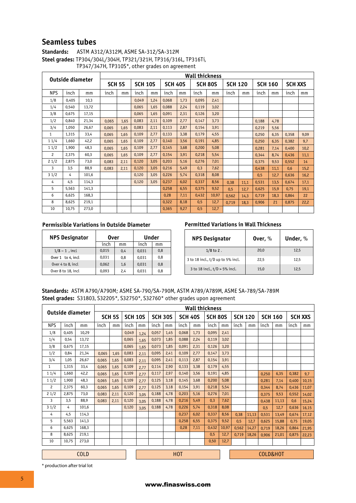### **Seamless tubes**

| <b>Standards:</b> | ASTM A312/A312M, ASME SA-312/SA-312M                            |
|-------------------|-----------------------------------------------------------------|
|                   | Steel grades: TP304/304L/304H, TP321/321H, TP316/316L, TP316Ti, |
|                   | TP347/347H, TP310S*, other grades on agreement                  |

| Outside diameter |       |                   |       |                |       |                |       | Wall thickness |       |                |       |                |       |                |       |      |
|------------------|-------|-------------------|-------|----------------|-------|----------------|-------|----------------|-------|----------------|-------|----------------|-------|----------------|-------|------|
|                  |       | SCH <sub>5S</sub> |       | <b>SCH 10S</b> |       | <b>SCH 40S</b> |       | <b>SCH 80S</b> |       | <b>SCH 120</b> |       | <b>SCH 160</b> |       | <b>SCH XXS</b> |       |      |
| <b>NPS</b>       | inch  | mm                | inch  | mm             | inch  | mm             | inch  | mm             | inch  | mm             | inch  | mm             | inch  | mm             | inch  | mm   |
| 1/8              | 0.405 | 10,3              |       |                | 0,049 | 1,24           | 0,068 | 1.73           | 0.095 | 2,41           |       |                |       |                |       |      |
| 1/4              | 0.540 | 13,72             |       |                | 0,065 | 1,65           | 0,088 | 2,24           | 0,119 | 3,02           |       |                |       |                |       |      |
| 3/8              | 0.675 | 17,15             |       |                | 0.065 | 1.65           | 0.091 | 2.31           | 0.126 | 3.20           |       |                |       |                |       |      |
| 1/2              | 0.840 | 21,34             | 0.065 | 1.65           | 0,083 | 2,11           | 0,109 | 2,77           | 0.147 | 3.73           |       |                | 0.188 | 4.78           |       |      |
| 3/4              | 1.050 | 26,67             | 0.065 | 1,65           | 0,083 | 2,11           | 0,113 | 2,87           | 0,154 | 3,91           |       |                | 0,219 | 5,56           |       |      |
| $\mathbf{1}$     | 1,315 | 33,4              | 0,065 | 1,65           | 0,109 | 2,77           | 0,133 | 3,38           | 0,179 | 4,55           |       |                | 0,250 | 6,35           | 0,358 | 9,09 |
| 11/4             | 1.660 | 42,2              | 0.065 | 1,65           | 0,109 | 2,77           | 0,140 | 3,56           | 0,191 | 4,85           |       |                | 0,250 | 6,35           | 0,382 | 9,7  |
| 11/2             | 1,900 | 48.3              | 0,065 | 1,65           | 0,109 | 2,77           | 0,145 | 3,68           | 0,200 | 5.08           |       |                | 0,281 | 7,14           | 0,400 | 10,2 |
| $\overline{c}$   | 2.375 | 60.3              | 0.065 | 1,65           | 0,109 | 2,77           | 0,154 | 3,91           | 0.218 | 5,54           |       |                | 0.344 | 8,74           | 0.436 | 11,1 |
| 21/2             | 2.875 | 73,0              | 0,083 | 2.11           | 0,120 | 3,05           | 0,203 | 5,16           | 0.276 | 7,01           |       |                | 0.375 | 9,53           | 0,552 | 14   |
| 3                | 3,5   | 88,9              | 0.083 | 2,11           | 0,120 | 3,05           | 0,216 | 5,49           | 0,3   | 7,62           |       |                | 0,438 | 11,1           | 0,6   | 15,2 |
| 31/2             | 4     | 101,6             |       |                | 0,120 | 3,05           | 0,226 | 5,74           | 0,318 | 8.08           |       |                | 0,5   | 12,7           | 0,636 | 16,2 |
| 4                | 4,5   | 114,3             |       |                | 0,120 | 3,05           | 0,237 | 6,02           | 0,337 | 8,56           | 0,38  | 11,1           | 0,531 | 13,5           | 0.674 | 17,1 |
| 5                | 5.563 | 141,3             |       |                |       |                | 0,258 | 6,55           | 0.375 | 9,52           | 0.5   | 12.7           | 0.625 | 15,9           | 0.75  | 19,1 |
| 6                | 6.625 | 168,3             |       |                |       |                | 0,28  | 7,11           | 0,432 | 10,97          | 0,562 | 14.3           | 0.719 | 18,3           | 0.864 | 22   |
| 8                | 8,625 | 219,1             |       |                |       |                | 0,322 | 8,18           | 0,5   | 12,7           | 0.719 | 18.3           | 0,906 | 21             | 0,875 | 22,2 |
| 10               | 10.75 | 273.0             |       |                |       |                | 0,365 | 9.27           | 0,5   | 12,7           |       |                |       |                |       |      |

#### **Permissible Variations in Outside Diameter**

| <b>NPS Designator</b>  | 0ver  |     | Under |     |  |  |
|------------------------|-------|-----|-------|-----|--|--|
|                        | inch  | mm  | inch  | mm  |  |  |
| $1/8 - 1$ , incl       | 0,015 | 0.4 | 0,031 | 0,8 |  |  |
| Over $1$ to $4$ , incl | 0.031 | 0.8 | 0.031 | 0,8 |  |  |
| Over 4 to 8, incl      | 0,062 | 1.6 | 0.031 | 0,8 |  |  |
| Over 8 to 18, incl     | 0.093 | 2.4 | 0.031 | 0,8 |  |  |

#### **Permitted Variations in Wall Thickness**

| <b>NPS Designator</b>             | Over, $\%$ | Under, $%$ |
|-----------------------------------|------------|------------|
| $1/8$ to 2.                       | 20.0       | 12,5       |
| 3 to 18 incl., t/D up to 5% incl. | 22.5       | 12.5       |
| 3 to 18 incl., $t/D > 5%$ incl.   | 15.0       | 12.5       |

### **Standards:** ASTM A790/A790M; ASME SA-790/SA-790M, ASTM A789/A789M, ASME SA-789/SA-789M **Steel grades:** S31803, S32205\*, S32750\*, S32760\* other grades upon agreement

|                  |       |       | <b>Wall thickness</b> |               |                  |                |       |                |       |                |       |                |       |                |          |                |       |       |
|------------------|-------|-------|-----------------------|---------------|------------------|----------------|-------|----------------|-------|----------------|-------|----------------|-------|----------------|----------|----------------|-------|-------|
| Outside diameter |       |       |                       | <b>SCH 5S</b> | <b>SCH 10S</b>   | <b>SCH 30S</b> |       | <b>SCH 40S</b> |       | <b>SCH 80S</b> |       | <b>SCH 120</b> |       | <b>SCH 160</b> |          | <b>SCH XXS</b> |       |       |
| <b>NPS</b>       | inch  | mm    | inch                  | mm            | inch             | mm             | inch  | mm             | inch  | mm             | inch  | mm             | inch  | mm             | inch     | mm             | inch  | mm    |
| 1/8              | 0.405 | 10.29 |                       |               | 0.049            | 1.24           | 0.057 | 1,45           | 0,068 | 1.73           | 0.095 | 2.41           |       |                |          |                |       |       |
| 1/4              | 0.54  | 13.72 |                       |               | 0.065            | 1.65           | 0.073 | 1.85           | 0.088 | 2.24           | 0.119 | 3.02           |       |                |          |                |       |       |
| 3/8              | 0.675 | 17.15 |                       |               | 0.065            | 1.65           | 0,073 | 1,85           | 0.091 | 2.31           | 0.126 | 3.20           |       |                |          |                |       |       |
| 1/2              | 0.84  | 21.34 | 0.065                 | 1.65          | 0,083            | 2.11           | 0,095 | 2,41           | 0,109 | 2,77           | 0,147 | 3,73           |       |                |          |                |       |       |
| 3/4              | 1.05  | 26.67 | 0.065                 | 1.65          | 0,083            | 2,11           | 0,095 | 2,41           | 0,113 | 2,87           | 0,154 | 3,91           |       |                |          |                |       |       |
| $\mathbf{1}$     | 1,315 | 33,4  | 0.065                 | 1,65          | 0,109            | 2.77           | 0,114 | 2,90           | 0,133 | 3,38           | 0,179 | 4,55           |       |                |          |                |       |       |
| 11/4             | 1.660 | 42.2  | 0.065                 | 1,65          | 0,109            | 2.77           | 0,117 | 2,97           | 0.140 | 3.56           | 0.191 | 4,85           |       |                | 0.250    | 6,35           | 0,382 | 9,7   |
| 11/2             | 1.900 | 48.3  | 0.065                 | 1.65          | 0,109            | 2.77           | 0.125 | 3.18           | 0.145 | 3.68           | 0.200 | 5.08           |       |                | 0.281    | 7,14           | 0.400 | 10,15 |
| $\overline{c}$   | 2.375 | 60.3  | 0.065                 | 1.65          | 0,109            | 2,77           | 0,125 | 3,18           | 0,154 | 3,91           | 0,218 | 5,54           |       |                | 0.344    | 8.74           | 0.436 | 11,07 |
| 21/2             | 2.875 | 73.0  | 0.083                 | 2,11          | 0,120            | 3.05           | 0,188 | 4,78           | 0,203 | 5,16           | 0.276 | 7,01           |       |                | 0.375    | 9,53           | 0,552 | 14,02 |
| 3                | 3,5   | 88,9  | 0.083                 | 2.11          | 0,120            | 3.05           | 0,188 | 4,78           | 0,216 | 5,49           | 0.3   | 7,62           |       |                | 0.438    | 11,13          | 0.6   | 15,24 |
| 31/2             | 4     | 101.6 |                       |               | 0.120            | 3.05           | 0.188 | 4.78           | 0.226 | 5.74           | 0.318 | 8.08           |       |                | 0.5      | 12,7           | 0,636 | 16,15 |
| 4                | 4.5   | 114.3 |                       |               |                  |                |       |                | 0.237 | 6.02           | 0.337 | 8.56           | 0,38  | 11,13          | 0,531    | 13,49          | 0,674 | 17,12 |
| 5                | 5.563 | 141,3 |                       |               |                  |                |       |                | 0.258 | 6.55           | 0.375 | 9,52           | 0.5   | 12.7           | 0.625    | 15.88          | 0.75  | 19,05 |
| 6                | 6.625 | 168.3 |                       |               |                  |                |       |                | 0.28  | 7,11           | 0,432 | 10,97          | 0.562 | 14,27          | 0.719    | 18,26          | 0.864 | 21,95 |
| 8                | 8.625 | 219,1 |                       |               |                  |                |       |                |       |                | 0,5   | 12,7           | 0.719 | 18,26          | 0.906    | 21,01          | 0.875 | 22,23 |
| 10               | 10.75 | 273.0 |                       |               |                  |                |       |                |       |                | 0,50  | 12.7           |       |                |          |                |       |       |
| <b>COLD</b>      |       |       |                       |               | H <sub>0</sub> T |                |       |                |       |                |       |                |       |                | COLD&HOT |                |       |       |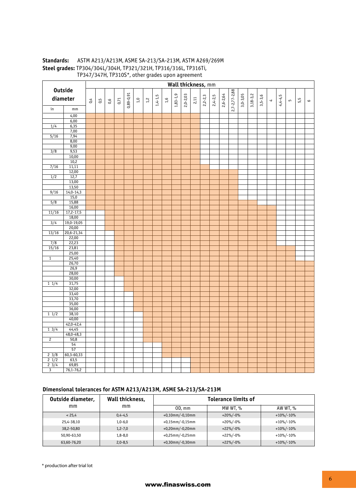#### **Standards:** ASTM A213/A213M, ASME SA-213/SA-213M, ASTM A269/269M **Steel grades:** TP304/304L/304H, TP321/321H, TP316/316L, TP316Ti, TP347/347H, TP310S\*, other grades upon agreement

|                             |                       |     |     |     |      |               |     |       |           |       |            | Wall thickness, mm |        |           |           |              |                     |              |            |             |                      |           |     |     |                 |
|-----------------------------|-----------------------|-----|-----|-----|------|---------------|-----|-------|-----------|-------|------------|--------------------|--------|-----------|-----------|--------------|---------------------|--------------|------------|-------------|----------------------|-----------|-----|-----|-----------------|
|                             | <b>Outside</b>        |     |     |     |      |               |     |       |           |       |            |                    |        |           |           |              |                     |              |            |             |                      |           |     |     |                 |
|                             | diameter              | 0.4 | 0,5 | 0,6 | 0,71 | $0,89 - 0,91$ | 2,0 | $1,2$ | $1,4-1,5$ | $1,6$ | $1,83-1,9$ | $2,0 - 2,03$       | $2,11$ | $2,2-2,3$ | $2,4-2,5$ | $2,6 - 2,64$ | $2,7 - 2,77 - 2,88$ | $3,0 - 3,05$ | $3,18-3,2$ | $3,5 - 3,6$ | $\blacktriangleleft$ | $4,4-4,5$ | LO. | 5,5 | $\mathbf \circ$ |
| in                          | $\mathsf{mm}$         |     |     |     |      |               |     |       |           |       |            |                    |        |           |           |              |                     |              |            |             |                      |           |     |     |                 |
|                             | 4,00                  |     |     |     |      |               |     |       |           |       |            |                    |        |           |           |              |                     |              |            |             |                      |           |     |     |                 |
|                             | 6,00                  |     |     |     |      |               |     |       |           |       |            |                    |        |           |           |              |                     |              |            |             |                      |           |     |     |                 |
| 1/4                         | 6,35                  |     |     |     |      |               |     |       |           |       |            |                    |        |           |           |              |                     |              |            |             |                      |           |     |     |                 |
|                             | 7,00                  |     |     |     |      |               |     |       |           |       |            |                    |        |           |           |              |                     |              |            |             |                      |           |     |     |                 |
| 5/16                        | 7,94                  |     |     |     |      |               |     |       |           |       |            |                    |        |           |           |              |                     |              |            |             |                      |           |     |     |                 |
|                             | 8,00                  |     |     |     |      |               |     |       |           |       |            |                    |        |           |           |              |                     |              |            |             |                      |           |     |     |                 |
|                             | 9,00                  |     |     |     |      |               |     |       |           |       |            |                    |        |           |           |              |                     |              |            |             |                      |           |     |     |                 |
| 3/8                         | 9,53                  |     |     |     |      |               |     |       |           |       |            |                    |        |           |           |              |                     |              |            |             |                      |           |     |     |                 |
|                             | 10,00                 |     |     |     |      |               |     |       |           |       |            |                    |        |           |           |              |                     |              |            |             |                      |           |     |     |                 |
|                             | 10,2                  |     |     |     |      |               |     |       |           |       |            |                    |        |           |           |              |                     |              |            |             |                      |           |     |     |                 |
| 7/16                        | 11,11                 |     |     |     |      |               |     |       |           |       |            |                    |        |           |           |              |                     |              |            |             |                      |           |     |     |                 |
|                             | 12,00                 |     |     |     |      |               |     |       |           |       |            |                    |        |           |           |              |                     |              |            |             |                      |           |     |     |                 |
| $\overline{1/2}$            | 12,7                  |     |     |     |      |               |     |       |           |       |            |                    |        |           |           |              |                     |              |            |             |                      |           |     |     |                 |
|                             | 13,00                 |     |     |     |      |               |     |       |           |       |            |                    |        |           |           |              |                     |              |            |             |                      |           |     |     |                 |
|                             | 13,50                 |     |     |     |      |               |     |       |           |       |            |                    |        |           |           |              |                     |              |            |             |                      |           |     |     |                 |
| 9/16                        | $14,0-14,3$           |     |     |     |      |               |     |       |           |       |            |                    |        |           |           |              |                     |              |            |             |                      |           |     |     |                 |
|                             | 15,0                  |     |     |     |      |               |     |       |           |       |            |                    |        |           |           |              |                     |              |            |             |                      |           |     |     |                 |
| 5/8                         | 15,88                 |     |     |     |      |               |     |       |           |       |            |                    |        |           |           |              |                     |              |            |             |                      |           |     |     |                 |
|                             | 16,00                 |     |     |     |      |               |     |       |           |       |            |                    |        |           |           |              |                     |              |            |             |                      |           |     |     |                 |
| 11/16                       | $17,2-17,5$           |     |     |     |      |               |     |       |           |       |            |                    |        |           |           |              |                     |              |            |             |                      |           |     |     |                 |
| $\frac{3}{4}$               | 18,00<br>$19,0-19,05$ |     |     |     |      |               |     |       |           |       |            |                    |        |           |           |              |                     |              |            |             |                      |           |     |     |                 |
|                             | 20,00                 |     |     |     |      |               |     |       |           |       |            |                    |        |           |           |              |                     |              |            |             |                      |           |     |     |                 |
| 13/16                       | $20,6 - 21,34$        |     |     |     |      |               |     |       |           |       |            |                    |        |           |           |              |                     |              |            |             |                      |           |     |     |                 |
|                             | 22,00                 |     |     |     |      |               |     |       |           |       |            |                    |        |           |           |              |                     |              |            |             |                      |           |     |     |                 |
| $\overline{7/8}$            | 22,23                 |     |     |     |      |               |     |       |           |       |            |                    |        |           |           |              |                     |              |            |             |                      |           |     |     |                 |
| 15/16                       | 23,81                 |     |     |     |      |               |     |       |           |       |            |                    |        |           |           |              |                     |              |            |             |                      |           |     |     |                 |
|                             | 25,00                 |     |     |     |      |               |     |       |           |       |            |                    |        |           |           |              |                     |              |            |             |                      |           |     |     |                 |
| $\overline{1}$              | 25,40                 |     |     |     |      |               |     |       |           |       |            |                    |        |           |           |              |                     |              |            |             |                      |           |     |     |                 |
|                             | 26,70                 |     |     |     |      |               |     |       |           |       |            |                    |        |           |           |              |                     |              |            |             |                      |           |     |     |                 |
|                             | 26,9                  |     |     |     |      |               |     |       |           |       |            |                    |        |           |           |              |                     |              |            |             |                      |           |     |     |                 |
|                             | 28,00                 |     |     |     |      |               |     |       |           |       |            |                    |        |           |           |              |                     |              |            |             |                      |           |     |     |                 |
|                             | 30,00                 |     |     |     |      |               |     |       |           |       |            |                    |        |           |           |              |                     |              |            |             |                      |           |     |     |                 |
| $1 \frac{1}{4}$             | 31,75                 |     |     |     |      |               |     |       |           |       |            |                    |        |           |           |              |                     |              |            |             |                      |           |     |     |                 |
|                             | 32,00                 |     |     |     |      |               |     |       |           |       |            |                    |        |           |           |              |                     |              |            |             |                      |           |     |     |                 |
|                             | 33,40                 |     |     |     |      |               |     |       |           |       |            |                    |        |           |           |              |                     |              |            |             |                      |           |     |     |                 |
|                             | 33,70                 |     |     |     |      |               |     |       |           |       |            |                    |        |           |           |              |                     |              |            |             |                      |           |     |     |                 |
|                             | 35,00                 |     |     |     |      |               |     |       |           |       |            |                    |        |           |           |              |                     |              |            |             |                      |           |     |     |                 |
|                             | 36,00                 |     |     |     |      |               |     |       |           |       |            |                    |        |           |           |              |                     |              |            |             |                      |           |     |     |                 |
| 11/2                        | 38,10                 |     |     |     |      |               |     |       |           |       |            |                    |        |           |           |              |                     |              |            |             |                      |           |     |     |                 |
|                             | 40,00                 |     |     |     |      |               |     |       |           |       |            |                    |        |           |           |              |                     |              |            |             |                      |           |     |     |                 |
|                             | $42,0 - 42,4$         |     |     |     |      |               |     |       |           |       |            |                    |        |           |           |              |                     |              |            |             |                      |           |     |     |                 |
| $1 \frac{3}{4}$             | 44,45                 |     |     |     |      |               |     |       |           |       |            |                    |        |           |           |              |                     |              |            |             |                      |           |     |     |                 |
|                             | $48,0 - 48,3$         |     |     |     |      |               |     |       |           |       |            |                    |        |           |           |              |                     |              |            |             |                      |           |     |     |                 |
| $\overline{2}$              | 50,8                  |     |     |     |      |               |     |       |           |       |            |                    |        |           |           |              |                     |              |            |             |                      |           |     |     |                 |
|                             | $\frac{1}{54}$        |     |     |     |      |               |     |       |           |       |            |                    |        |           |           |              |                     |              |            |             |                      |           |     |     |                 |
|                             | 57                    |     |     |     |      |               |     |       |           |       |            |                    |        |           |           |              |                     |              |            |             |                      |           |     |     |                 |
| $2 \frac{3}{8}$             | $60,3-60,33$          |     |     |     |      |               |     |       |           |       |            |                    |        |           |           |              |                     |              |            |             |                      |           |     |     |                 |
| $\frac{1}{2}$ $\frac{1}{2}$ | 63,5                  |     |     |     |      |               |     |       |           |       |            |                    |        |           |           |              |                     |              |            |             |                      |           |     |     |                 |
| $\frac{1}{2}$ 3/4           | 69,85                 |     |     |     |      |               |     |       |           |       |            |                    |        |           |           |              |                     |              |            |             |                      |           |     |     |                 |
| $\overline{\mathbf{3}}$     | $76,1 - 76,2$         |     |     |     |      |               |     |       |           |       |            |                    |        |           |           |              |                     |              |            |             |                      |           |     |     |                 |

### **Dimensional tolerances for ASTM A213/A213M, ASME SA-213/SA-213M**

| Outside diameter, | Wall thickness, |                    | <b>Tolerance limits of</b> |               |  |  |  |  |
|-------------------|-----------------|--------------------|----------------------------|---------------|--|--|--|--|
| mm                | mm              | $OD.$ mm           | MW WT, %                   | AW WT, %      |  |  |  |  |
| < 25.4            | $0,4-4,5$       | $+0,10$ mm/-0,10mm | $+20\%/-0\%$               | $+10\%/-10\%$ |  |  |  |  |
| 25.4-38.10        | $1,0-6,0$       | $+0.15$ mm/-0.15mm | $+20\%/-0\%$               | $+10\%/-10\%$ |  |  |  |  |
| 38.2-50.80        | $1,2 - 7,0$     | $+0,20$ mm/-0,20mm | $+22\%/-0\%$               | $+10\%/-10\%$ |  |  |  |  |
| 50,90-63,50       | $1,8 - 8,0$     | $+0.25$ mm/-0.25mm | $+22\%/-0\%$               | $+10\%/-10\%$ |  |  |  |  |
| 63,60-76,20       | $2,0 - 8,5$     | $+0.30$ mm/-0.30mm | $+22\%/-0\%$               | $+10\%/-10\%$ |  |  |  |  |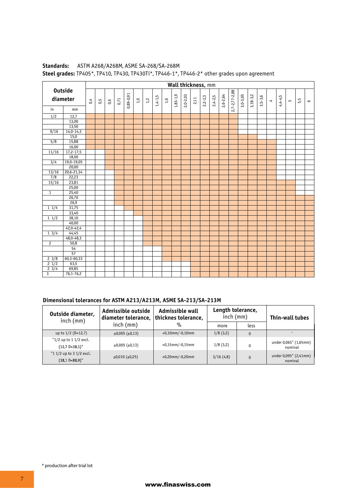|                   |                            |     |     |     |      |             |     |       |             |       |            | Wall thickness, mm |      |             |             |          |                     |            |            |             |                      |           |   |     |           |
|-------------------|----------------------------|-----|-----|-----|------|-------------|-----|-------|-------------|-------|------------|--------------------|------|-------------|-------------|----------|---------------------|------------|------------|-------------|----------------------|-----------|---|-----|-----------|
|                   | <b>Outside</b><br>diameter | 0,4 | 0,5 | 0,6 | 0,71 | $0,89-0,91$ | 1,0 | $1,2$ | $1,4 - 1,5$ | $1,6$ | $1,83-1,9$ | $2,0 - 2,03$       | 2,11 | $2,2 - 2,3$ | $2,4 - 2,5$ | 2,6-2,64 | $2,7 - 2,77 - 2,88$ | $3,0-3,05$ | $3,18-3,2$ | $3,5 - 3,6$ | $\blacktriangleleft$ | $4,4-4,5$ | 5 | 5,5 | $\bullet$ |
| in                | mm                         |     |     |     |      |             |     |       |             |       |            |                    |      |             |             |          |                     |            |            |             |                      |           |   |     |           |
| 1/2               | 12,7                       |     |     |     |      |             |     |       |             |       |            |                    |      |             |             |          |                     |            |            |             |                      |           |   |     |           |
|                   | 13,00                      |     |     |     |      |             |     |       |             |       |            |                    |      |             |             |          |                     |            |            |             |                      |           |   |     |           |
|                   | 13,50                      |     |     |     |      |             |     |       |             |       |            |                    |      |             |             |          |                     |            |            |             |                      |           |   |     |           |
| 9/16              | $14,0-14,3$                |     |     |     |      |             |     |       |             |       |            |                    |      |             |             |          |                     |            |            |             |                      |           |   |     |           |
|                   | 15,0                       |     |     |     |      |             |     |       |             |       |            |                    |      |             |             |          |                     |            |            |             |                      |           |   |     |           |
| 5/8               | 15,88                      |     |     |     |      |             |     |       |             |       |            |                    |      |             |             |          |                     |            |            |             |                      |           |   |     |           |
|                   | 16,00                      |     |     |     |      |             |     |       |             |       |            |                    |      |             |             |          |                     |            |            |             |                      |           |   |     |           |
| 11/16             | $17,2 - 17,5$              |     |     |     |      |             |     |       |             |       |            |                    |      |             |             |          |                     |            |            |             |                      |           |   |     |           |
|                   | 18,00                      |     |     |     |      |             |     |       |             |       |            |                    |      |             |             |          |                     |            |            |             |                      |           |   |     |           |
| 3/4               | 19,0-19,05                 |     |     |     |      |             |     |       |             |       |            |                    |      |             |             |          |                     |            |            |             |                      |           |   |     |           |
|                   | 20,00                      |     |     |     |      |             |     |       |             |       |            |                    |      |             |             |          |                     |            |            |             |                      |           |   |     |           |
| 13/16             | $20,6 - 21,34$             |     |     |     |      |             |     |       |             |       |            |                    |      |             |             |          |                     |            |            |             |                      |           |   |     |           |
| $\overline{7/8}$  | 22,23                      |     |     |     |      |             |     |       |             |       |            |                    |      |             |             |          |                     |            |            |             |                      |           |   |     |           |
| 15/16             | 23,81                      |     |     |     |      |             |     |       |             |       |            |                    |      |             |             |          |                     |            |            |             |                      |           |   |     |           |
|                   | 25,00                      |     |     |     |      |             |     |       |             |       |            |                    |      |             |             |          |                     |            |            |             |                      |           |   |     |           |
| $\overline{1}$    | 25,40                      |     |     |     |      |             |     |       |             |       |            |                    |      |             |             |          |                     |            |            |             |                      |           |   |     |           |
|                   | 26,70                      |     |     |     |      |             |     |       |             |       |            |                    |      |             |             |          |                     |            |            |             |                      |           |   |     |           |
|                   | 26,9                       |     |     |     |      |             |     |       |             |       |            |                    |      |             |             |          |                     |            |            |             |                      |           |   |     |           |
| 11/4              | 31,75                      |     |     |     |      |             |     |       |             |       |            |                    |      |             |             |          |                     |            |            |             |                      |           |   |     |           |
|                   | 33,40                      |     |     |     |      |             |     |       |             |       |            |                    |      |             |             |          |                     |            |            |             |                      |           |   |     |           |
| $1 \frac{1}{2}$   | 38,10                      |     |     |     |      |             |     |       |             |       |            |                    |      |             |             |          |                     |            |            |             |                      |           |   |     |           |
|                   | 40,00                      |     |     |     |      |             |     |       |             |       |            |                    |      |             |             |          |                     |            |            |             |                      |           |   |     |           |
|                   | $42,0 - 42,4$              |     |     |     |      |             |     |       |             |       |            |                    |      |             |             |          |                     |            |            |             |                      |           |   |     |           |
| $1 \frac{3}{4}$   | 44,45                      |     |     |     |      |             |     |       |             |       |            |                    |      |             |             |          |                     |            |            |             |                      |           |   |     |           |
|                   | $48,0 - 48,3$              |     |     |     |      |             |     |       |             |       |            |                    |      |             |             |          |                     |            |            |             |                      |           |   |     |           |
| $\mathbf{2}$      | 50,8                       |     |     |     |      |             |     |       |             |       |            |                    |      |             |             |          |                     |            |            |             |                      |           |   |     |           |
|                   | 54                         |     |     |     |      |             |     |       |             |       |            |                    |      |             |             |          |                     |            |            |             |                      |           |   |     |           |
|                   | $\frac{1}{57}$             |     |     |     |      |             |     |       |             |       |            |                    |      |             |             |          |                     |            |            |             |                      |           |   |     |           |
| 23/8              | $60,3-60,33$               |     |     |     |      |             |     |       |             |       |            |                    |      |             |             |          |                     |            |            |             |                      |           |   |     |           |
| $2 \frac{1}{2}$   | 63,5                       |     |     |     |      |             |     |       |             |       |            |                    |      |             |             |          |                     |            |            |             |                      |           |   |     |           |
| $2 \frac{1}{3}/4$ | 69,85                      |     |     |     |      |             |     |       |             |       |            |                    |      |             |             |          |                     |            |            |             |                      |           |   |     |           |
| $\overline{3}$    | $76,1 - 76,2$              |     |     |     |      |             |     |       |             |       |            |                    |      |             |             |          |                     |            |            |             |                      |           |   |     |           |

### **Standards:** ASTM A268/A268M, ASME SA-268/SA-268M **Steel grades:** TP405\*, TP410, TP430, TP430Ti\*, TP446-1\*, TP446-2\* other grades upon agreement

### **Dimensional tolerances for ASTM A213/A213M, ASME SA-213/SA-213M**

| Outside diameter,<br>inch(mm)                         | Admissible outside<br>diameter tolerance, | Admissible wall<br>thicknes tolerance, | Length tolerance,<br>$inch$ (mm) |          | Thin-wall tubes                  |
|-------------------------------------------------------|-------------------------------------------|----------------------------------------|----------------------------------|----------|----------------------------------|
|                                                       | $inch$ (mm)                               | $\%$                                   | more                             | less     |                                  |
| up to $1/2$ (D<12,7)                                  | $\pm 0.005$ ( $\pm 0.13$ )                | $+0,10$ mm/-0,10mm                     | 1/8(3,2)                         | $\Omega$ |                                  |
| "1/2 up to 1 1/2 excl.<br>$(12,7 \text{ D} < 38,1)$ " | $\pm 0.005$ ( $\pm 0.13$ )                | $+0,15$ mm/-0,15mm                     | 1/8(3,2)                         |          | under 0,065" (1,65mm)<br>nominal |
| "1 1/2 up to 3 1/2 excl.<br>$(38, 1 D < 88, 9)$ "     | $\pm 0.010$ ( $\pm 0.25$ )                | $+0,20$ mm $/$ -0,20mm                 | 3/16(4,8)                        | $\Omega$ | under 0,095" (2,41mm)<br>nominal |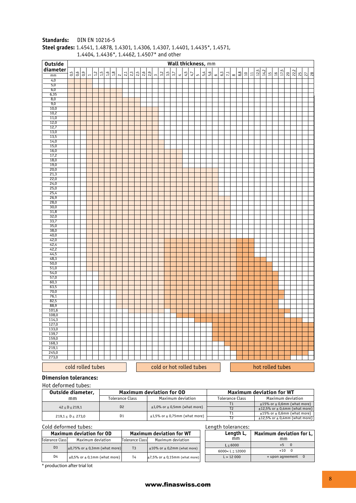| Wall thickness, mm<br>diameter<br>12,5<br>$\frac{14.2}{2}$<br>17,5<br>$\frac{20}{222}$<br>0.5<br>0,6<br>ခြ<br>$12$<br>$1.5\,$<br>16<br>$18$<br>$\frac{1}{2}$<br>2.5<br> 35<br>$\frac{5}{20}$<br>$\frac{3}{2}$<br>3,5<br>4,5<br>$\frac{1}{2}$<br>$\frac{63}{5}$<br>$\frac{8}{8}$<br>3,7<br>47<br>5,4<br>$\overline{z}$<br>$\approx$<br>$\Xi$<br>$\Xi$<br>$\frac{16}{1}$<br>$\frac{1}{2}$ $\frac{1}{2}$ $\frac{1}{2}$<br>$\mathsf{L}\cap$<br>$\infty$<br>$\sim$<br>$\preceq$<br>mm<br>$\overline{\phantom{a}}$<br>4,0<br>5,0<br>6,0<br>6,35<br>8,0<br>9,0<br>10,0<br>10,2<br>11,0<br>12,0<br>12,7<br>13,0<br>13,5<br>14,0<br>15,0<br>16,0<br>17,2<br>18,0<br>19,0<br>20,0<br>21,3<br>22,0<br>24,0<br>25,0<br>25,4<br>26,9<br>28,0<br>30,0<br>31,8<br>32,0<br>33,7<br>35,0<br>38,0<br>40,0<br>42,0<br>42,4<br>42,2<br>44,5<br>48,3<br>50,0<br>51,0<br>54,0<br>57,0<br>60,3<br>63,5<br>70,0<br>76,1<br>82,5<br>88,9<br>101,6<br>108,0<br>114,3<br>127,0<br>133,0<br>139,7<br>$\frac{159,0}{168,3}$<br>219,1<br>245,0<br>273,0<br>cold or hot rolled tubes<br>hot rolled tubes<br>cold rolled tubes | <b>Outside</b> |  |  |  |  |  |  |  |  |  |  |  |  |  |  |  |  |  |  |  |  |  |
|------------------------------------------------------------------------------------------------------------------------------------------------------------------------------------------------------------------------------------------------------------------------------------------------------------------------------------------------------------------------------------------------------------------------------------------------------------------------------------------------------------------------------------------------------------------------------------------------------------------------------------------------------------------------------------------------------------------------------------------------------------------------------------------------------------------------------------------------------------------------------------------------------------------------------------------------------------------------------------------------------------------------------------------------------------------------------------------------|----------------|--|--|--|--|--|--|--|--|--|--|--|--|--|--|--|--|--|--|--|--|--|
|                                                                                                                                                                                                                                                                                                                                                                                                                                                                                                                                                                                                                                                                                                                                                                                                                                                                                                                                                                                                                                                                                                |                |  |  |  |  |  |  |  |  |  |  |  |  |  |  |  |  |  |  |  |  |  |
|                                                                                                                                                                                                                                                                                                                                                                                                                                                                                                                                                                                                                                                                                                                                                                                                                                                                                                                                                                                                                                                                                                |                |  |  |  |  |  |  |  |  |  |  |  |  |  |  |  |  |  |  |  |  |  |
|                                                                                                                                                                                                                                                                                                                                                                                                                                                                                                                                                                                                                                                                                                                                                                                                                                                                                                                                                                                                                                                                                                |                |  |  |  |  |  |  |  |  |  |  |  |  |  |  |  |  |  |  |  |  |  |
|                                                                                                                                                                                                                                                                                                                                                                                                                                                                                                                                                                                                                                                                                                                                                                                                                                                                                                                                                                                                                                                                                                |                |  |  |  |  |  |  |  |  |  |  |  |  |  |  |  |  |  |  |  |  |  |
|                                                                                                                                                                                                                                                                                                                                                                                                                                                                                                                                                                                                                                                                                                                                                                                                                                                                                                                                                                                                                                                                                                |                |  |  |  |  |  |  |  |  |  |  |  |  |  |  |  |  |  |  |  |  |  |
|                                                                                                                                                                                                                                                                                                                                                                                                                                                                                                                                                                                                                                                                                                                                                                                                                                                                                                                                                                                                                                                                                                |                |  |  |  |  |  |  |  |  |  |  |  |  |  |  |  |  |  |  |  |  |  |
|                                                                                                                                                                                                                                                                                                                                                                                                                                                                                                                                                                                                                                                                                                                                                                                                                                                                                                                                                                                                                                                                                                |                |  |  |  |  |  |  |  |  |  |  |  |  |  |  |  |  |  |  |  |  |  |
|                                                                                                                                                                                                                                                                                                                                                                                                                                                                                                                                                                                                                                                                                                                                                                                                                                                                                                                                                                                                                                                                                                |                |  |  |  |  |  |  |  |  |  |  |  |  |  |  |  |  |  |  |  |  |  |
|                                                                                                                                                                                                                                                                                                                                                                                                                                                                                                                                                                                                                                                                                                                                                                                                                                                                                                                                                                                                                                                                                                |                |  |  |  |  |  |  |  |  |  |  |  |  |  |  |  |  |  |  |  |  |  |
|                                                                                                                                                                                                                                                                                                                                                                                                                                                                                                                                                                                                                                                                                                                                                                                                                                                                                                                                                                                                                                                                                                |                |  |  |  |  |  |  |  |  |  |  |  |  |  |  |  |  |  |  |  |  |  |
|                                                                                                                                                                                                                                                                                                                                                                                                                                                                                                                                                                                                                                                                                                                                                                                                                                                                                                                                                                                                                                                                                                |                |  |  |  |  |  |  |  |  |  |  |  |  |  |  |  |  |  |  |  |  |  |
|                                                                                                                                                                                                                                                                                                                                                                                                                                                                                                                                                                                                                                                                                                                                                                                                                                                                                                                                                                                                                                                                                                |                |  |  |  |  |  |  |  |  |  |  |  |  |  |  |  |  |  |  |  |  |  |
|                                                                                                                                                                                                                                                                                                                                                                                                                                                                                                                                                                                                                                                                                                                                                                                                                                                                                                                                                                                                                                                                                                |                |  |  |  |  |  |  |  |  |  |  |  |  |  |  |  |  |  |  |  |  |  |
|                                                                                                                                                                                                                                                                                                                                                                                                                                                                                                                                                                                                                                                                                                                                                                                                                                                                                                                                                                                                                                                                                                |                |  |  |  |  |  |  |  |  |  |  |  |  |  |  |  |  |  |  |  |  |  |
|                                                                                                                                                                                                                                                                                                                                                                                                                                                                                                                                                                                                                                                                                                                                                                                                                                                                                                                                                                                                                                                                                                |                |  |  |  |  |  |  |  |  |  |  |  |  |  |  |  |  |  |  |  |  |  |
|                                                                                                                                                                                                                                                                                                                                                                                                                                                                                                                                                                                                                                                                                                                                                                                                                                                                                                                                                                                                                                                                                                |                |  |  |  |  |  |  |  |  |  |  |  |  |  |  |  |  |  |  |  |  |  |
|                                                                                                                                                                                                                                                                                                                                                                                                                                                                                                                                                                                                                                                                                                                                                                                                                                                                                                                                                                                                                                                                                                |                |  |  |  |  |  |  |  |  |  |  |  |  |  |  |  |  |  |  |  |  |  |
|                                                                                                                                                                                                                                                                                                                                                                                                                                                                                                                                                                                                                                                                                                                                                                                                                                                                                                                                                                                                                                                                                                |                |  |  |  |  |  |  |  |  |  |  |  |  |  |  |  |  |  |  |  |  |  |
|                                                                                                                                                                                                                                                                                                                                                                                                                                                                                                                                                                                                                                                                                                                                                                                                                                                                                                                                                                                                                                                                                                |                |  |  |  |  |  |  |  |  |  |  |  |  |  |  |  |  |  |  |  |  |  |
|                                                                                                                                                                                                                                                                                                                                                                                                                                                                                                                                                                                                                                                                                                                                                                                                                                                                                                                                                                                                                                                                                                |                |  |  |  |  |  |  |  |  |  |  |  |  |  |  |  |  |  |  |  |  |  |
|                                                                                                                                                                                                                                                                                                                                                                                                                                                                                                                                                                                                                                                                                                                                                                                                                                                                                                                                                                                                                                                                                                |                |  |  |  |  |  |  |  |  |  |  |  |  |  |  |  |  |  |  |  |  |  |
|                                                                                                                                                                                                                                                                                                                                                                                                                                                                                                                                                                                                                                                                                                                                                                                                                                                                                                                                                                                                                                                                                                |                |  |  |  |  |  |  |  |  |  |  |  |  |  |  |  |  |  |  |  |  |  |
|                                                                                                                                                                                                                                                                                                                                                                                                                                                                                                                                                                                                                                                                                                                                                                                                                                                                                                                                                                                                                                                                                                |                |  |  |  |  |  |  |  |  |  |  |  |  |  |  |  |  |  |  |  |  |  |
|                                                                                                                                                                                                                                                                                                                                                                                                                                                                                                                                                                                                                                                                                                                                                                                                                                                                                                                                                                                                                                                                                                |                |  |  |  |  |  |  |  |  |  |  |  |  |  |  |  |  |  |  |  |  |  |
|                                                                                                                                                                                                                                                                                                                                                                                                                                                                                                                                                                                                                                                                                                                                                                                                                                                                                                                                                                                                                                                                                                |                |  |  |  |  |  |  |  |  |  |  |  |  |  |  |  |  |  |  |  |  |  |
|                                                                                                                                                                                                                                                                                                                                                                                                                                                                                                                                                                                                                                                                                                                                                                                                                                                                                                                                                                                                                                                                                                |                |  |  |  |  |  |  |  |  |  |  |  |  |  |  |  |  |  |  |  |  |  |
|                                                                                                                                                                                                                                                                                                                                                                                                                                                                                                                                                                                                                                                                                                                                                                                                                                                                                                                                                                                                                                                                                                |                |  |  |  |  |  |  |  |  |  |  |  |  |  |  |  |  |  |  |  |  |  |
|                                                                                                                                                                                                                                                                                                                                                                                                                                                                                                                                                                                                                                                                                                                                                                                                                                                                                                                                                                                                                                                                                                |                |  |  |  |  |  |  |  |  |  |  |  |  |  |  |  |  |  |  |  |  |  |
|                                                                                                                                                                                                                                                                                                                                                                                                                                                                                                                                                                                                                                                                                                                                                                                                                                                                                                                                                                                                                                                                                                |                |  |  |  |  |  |  |  |  |  |  |  |  |  |  |  |  |  |  |  |  |  |
|                                                                                                                                                                                                                                                                                                                                                                                                                                                                                                                                                                                                                                                                                                                                                                                                                                                                                                                                                                                                                                                                                                |                |  |  |  |  |  |  |  |  |  |  |  |  |  |  |  |  |  |  |  |  |  |
|                                                                                                                                                                                                                                                                                                                                                                                                                                                                                                                                                                                                                                                                                                                                                                                                                                                                                                                                                                                                                                                                                                |                |  |  |  |  |  |  |  |  |  |  |  |  |  |  |  |  |  |  |  |  |  |
|                                                                                                                                                                                                                                                                                                                                                                                                                                                                                                                                                                                                                                                                                                                                                                                                                                                                                                                                                                                                                                                                                                |                |  |  |  |  |  |  |  |  |  |  |  |  |  |  |  |  |  |  |  |  |  |
|                                                                                                                                                                                                                                                                                                                                                                                                                                                                                                                                                                                                                                                                                                                                                                                                                                                                                                                                                                                                                                                                                                |                |  |  |  |  |  |  |  |  |  |  |  |  |  |  |  |  |  |  |  |  |  |
|                                                                                                                                                                                                                                                                                                                                                                                                                                                                                                                                                                                                                                                                                                                                                                                                                                                                                                                                                                                                                                                                                                |                |  |  |  |  |  |  |  |  |  |  |  |  |  |  |  |  |  |  |  |  |  |
|                                                                                                                                                                                                                                                                                                                                                                                                                                                                                                                                                                                                                                                                                                                                                                                                                                                                                                                                                                                                                                                                                                |                |  |  |  |  |  |  |  |  |  |  |  |  |  |  |  |  |  |  |  |  |  |
|                                                                                                                                                                                                                                                                                                                                                                                                                                                                                                                                                                                                                                                                                                                                                                                                                                                                                                                                                                                                                                                                                                |                |  |  |  |  |  |  |  |  |  |  |  |  |  |  |  |  |  |  |  |  |  |
|                                                                                                                                                                                                                                                                                                                                                                                                                                                                                                                                                                                                                                                                                                                                                                                                                                                                                                                                                                                                                                                                                                |                |  |  |  |  |  |  |  |  |  |  |  |  |  |  |  |  |  |  |  |  |  |
|                                                                                                                                                                                                                                                                                                                                                                                                                                                                                                                                                                                                                                                                                                                                                                                                                                                                                                                                                                                                                                                                                                |                |  |  |  |  |  |  |  |  |  |  |  |  |  |  |  |  |  |  |  |  |  |
|                                                                                                                                                                                                                                                                                                                                                                                                                                                                                                                                                                                                                                                                                                                                                                                                                                                                                                                                                                                                                                                                                                |                |  |  |  |  |  |  |  |  |  |  |  |  |  |  |  |  |  |  |  |  |  |
|                                                                                                                                                                                                                                                                                                                                                                                                                                                                                                                                                                                                                                                                                                                                                                                                                                                                                                                                                                                                                                                                                                |                |  |  |  |  |  |  |  |  |  |  |  |  |  |  |  |  |  |  |  |  |  |
|                                                                                                                                                                                                                                                                                                                                                                                                                                                                                                                                                                                                                                                                                                                                                                                                                                                                                                                                                                                                                                                                                                |                |  |  |  |  |  |  |  |  |  |  |  |  |  |  |  |  |  |  |  |  |  |
|                                                                                                                                                                                                                                                                                                                                                                                                                                                                                                                                                                                                                                                                                                                                                                                                                                                                                                                                                                                                                                                                                                |                |  |  |  |  |  |  |  |  |  |  |  |  |  |  |  |  |  |  |  |  |  |
|                                                                                                                                                                                                                                                                                                                                                                                                                                                                                                                                                                                                                                                                                                                                                                                                                                                                                                                                                                                                                                                                                                |                |  |  |  |  |  |  |  |  |  |  |  |  |  |  |  |  |  |  |  |  |  |
|                                                                                                                                                                                                                                                                                                                                                                                                                                                                                                                                                                                                                                                                                                                                                                                                                                                                                                                                                                                                                                                                                                |                |  |  |  |  |  |  |  |  |  |  |  |  |  |  |  |  |  |  |  |  |  |
|                                                                                                                                                                                                                                                                                                                                                                                                                                                                                                                                                                                                                                                                                                                                                                                                                                                                                                                                                                                                                                                                                                |                |  |  |  |  |  |  |  |  |  |  |  |  |  |  |  |  |  |  |  |  |  |
|                                                                                                                                                                                                                                                                                                                                                                                                                                                                                                                                                                                                                                                                                                                                                                                                                                                                                                                                                                                                                                                                                                |                |  |  |  |  |  |  |  |  |  |  |  |  |  |  |  |  |  |  |  |  |  |
|                                                                                                                                                                                                                                                                                                                                                                                                                                                                                                                                                                                                                                                                                                                                                                                                                                                                                                                                                                                                                                                                                                |                |  |  |  |  |  |  |  |  |  |  |  |  |  |  |  |  |  |  |  |  |  |
|                                                                                                                                                                                                                                                                                                                                                                                                                                                                                                                                                                                                                                                                                                                                                                                                                                                                                                                                                                                                                                                                                                |                |  |  |  |  |  |  |  |  |  |  |  |  |  |  |  |  |  |  |  |  |  |
|                                                                                                                                                                                                                                                                                                                                                                                                                                                                                                                                                                                                                                                                                                                                                                                                                                                                                                                                                                                                                                                                                                |                |  |  |  |  |  |  |  |  |  |  |  |  |  |  |  |  |  |  |  |  |  |
|                                                                                                                                                                                                                                                                                                                                                                                                                                                                                                                                                                                                                                                                                                                                                                                                                                                                                                                                                                                                                                                                                                |                |  |  |  |  |  |  |  |  |  |  |  |  |  |  |  |  |  |  |  |  |  |
|                                                                                                                                                                                                                                                                                                                                                                                                                                                                                                                                                                                                                                                                                                                                                                                                                                                                                                                                                                                                                                                                                                |                |  |  |  |  |  |  |  |  |  |  |  |  |  |  |  |  |  |  |  |  |  |
|                                                                                                                                                                                                                                                                                                                                                                                                                                                                                                                                                                                                                                                                                                                                                                                                                                                                                                                                                                                                                                                                                                |                |  |  |  |  |  |  |  |  |  |  |  |  |  |  |  |  |  |  |  |  |  |
|                                                                                                                                                                                                                                                                                                                                                                                                                                                                                                                                                                                                                                                                                                                                                                                                                                                                                                                                                                                                                                                                                                |                |  |  |  |  |  |  |  |  |  |  |  |  |  |  |  |  |  |  |  |  |  |
|                                                                                                                                                                                                                                                                                                                                                                                                                                                                                                                                                                                                                                                                                                                                                                                                                                                                                                                                                                                                                                                                                                |                |  |  |  |  |  |  |  |  |  |  |  |  |  |  |  |  |  |  |  |  |  |
|                                                                                                                                                                                                                                                                                                                                                                                                                                                                                                                                                                                                                                                                                                                                                                                                                                                                                                                                                                                                                                                                                                |                |  |  |  |  |  |  |  |  |  |  |  |  |  |  |  |  |  |  |  |  |  |
|                                                                                                                                                                                                                                                                                                                                                                                                                                                                                                                                                                                                                                                                                                                                                                                                                                                                                                                                                                                                                                                                                                |                |  |  |  |  |  |  |  |  |  |  |  |  |  |  |  |  |  |  |  |  |  |
|                                                                                                                                                                                                                                                                                                                                                                                                                                                                                                                                                                                                                                                                                                                                                                                                                                                                                                                                                                                                                                                                                                |                |  |  |  |  |  |  |  |  |  |  |  |  |  |  |  |  |  |  |  |  |  |
|                                                                                                                                                                                                                                                                                                                                                                                                                                                                                                                                                                                                                                                                                                                                                                                                                                                                                                                                                                                                                                                                                                |                |  |  |  |  |  |  |  |  |  |  |  |  |  |  |  |  |  |  |  |  |  |
|                                                                                                                                                                                                                                                                                                                                                                                                                                                                                                                                                                                                                                                                                                                                                                                                                                                                                                                                                                                                                                                                                                |                |  |  |  |  |  |  |  |  |  |  |  |  |  |  |  |  |  |  |  |  |  |
|                                                                                                                                                                                                                                                                                                                                                                                                                                                                                                                                                                                                                                                                                                                                                                                                                                                                                                                                                                                                                                                                                                |                |  |  |  |  |  |  |  |  |  |  |  |  |  |  |  |  |  |  |  |  |  |

#### **Standards:** DIN EN 10216-5 **Steel grades:** 1.4541, 1.4878, 1.4301, 1.4306, 1.4307, 1.4401, 1.4435\*, 1.4571, 1.4404, 1.4436\*, 1.4462, 1.4507\* and other

#### **Dimension tolerances:** Hot deformed tubes:

| <u>HOL GETOLITIEG LUDES:</u> |                 |                                          |                 |                                          |
|------------------------------|-----------------|------------------------------------------|-----------------|------------------------------------------|
| Outside diameter,            |                 | <b>Maximum deviation for OD</b>          |                 | <b>Maximum deviation for WT</b>          |
| mm                           | Tolerance Class | Maximum deviation                        | Tolerance Class | Maximum deviation                        |
|                              |                 |                                          | Τ1              | $\pm 15\%$ or $\pm$ 0,6mm (what more)    |
| $42 \le D \le 219.1$         | D <sub>2</sub>  | $\pm 1.0\%$ or $\pm 0.5$ mm (what more)  | T <sub>2</sub>  | $\pm$ 12,5% or $\pm$ 0,4mm (what more)   |
|                              | D <sub>1</sub>  | $\pm 1.5\%$ or $\pm 0.75$ mm (what more) |                 | $\pm 15\%$ or $\pm$ 0,6mm (what more)    |
| $219.1 \le D \le 273.0$      |                 |                                          | T2              | $\pm 12,5\%$ or $\pm 0,4$ mm (what more) |

|                 | Cold deformed tubes:                     |                 |                                        | Length tolerances: |                          |
|-----------------|------------------------------------------|-----------------|----------------------------------------|--------------------|--------------------------|
|                 | <b>Maximum deviation for OD</b>          |                 | <b>Maximum deviation for WT</b>        | Length L,          | Maximum deviation for L, |
| Tolerance Class | Maximum deviation                        | Tolerance Class | Maximum deviation                      | mm                 | mm                       |
| D <sub>3</sub>  |                                          |                 |                                        | $L \leq 6000$      | $+5$ 0                   |
|                 | $\pm 0.75\%$ or $\pm 0.3$ mm (what more) | T <sub>3</sub>  | $\pm 10\%$ or $\pm$ 0,2mm (what more)  | 6000 < L < 12000   | $+10$ 0                  |
| D <sub>4</sub>  | $\pm 0.5\%$ or $\pm 0.1$ mm (what more)  | T4              | $\pm$ 7,5% or $\pm$ 0,15mm (what more) | L > 12000          | + upon agreement 0       |